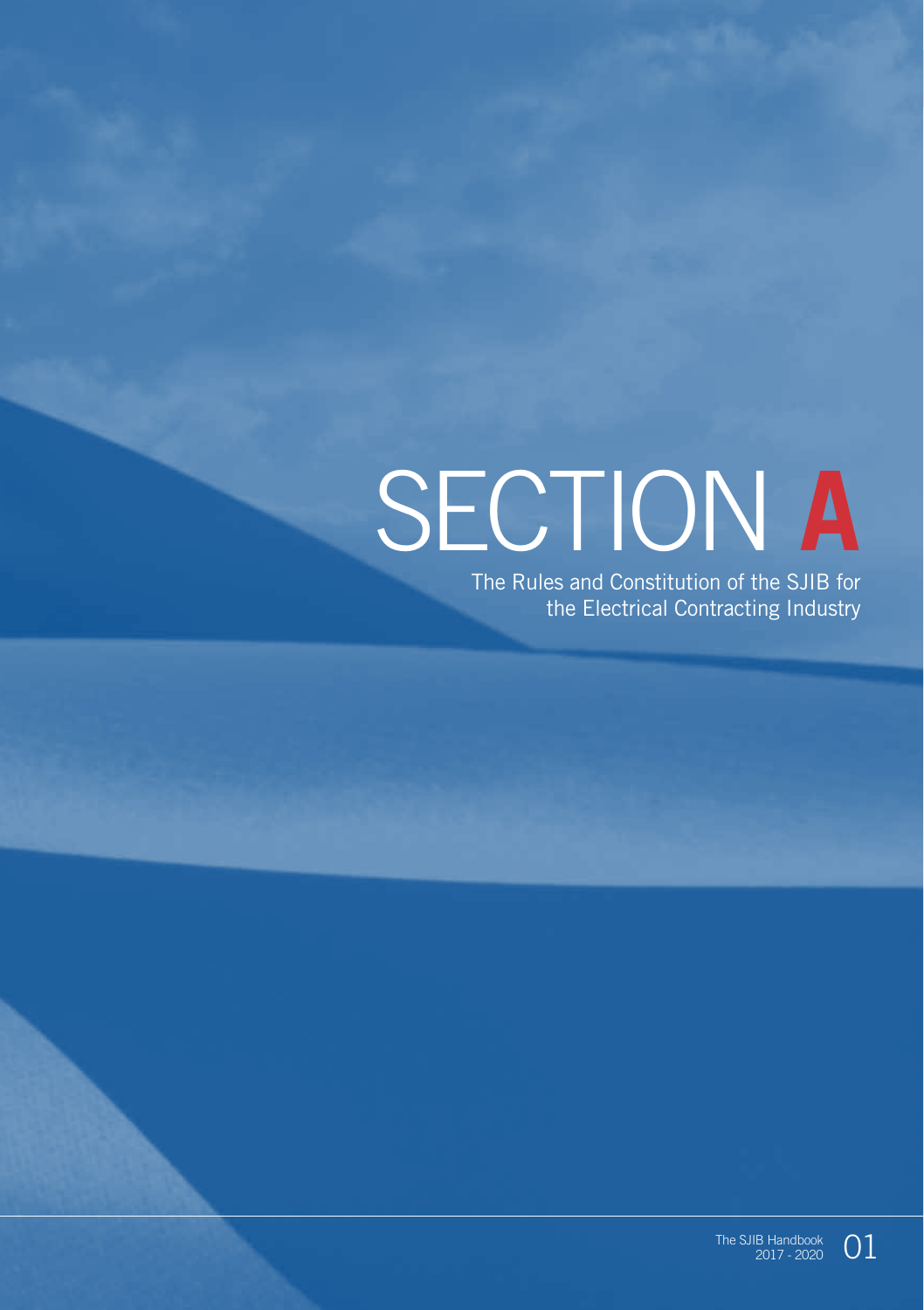# SECTION **A**

The Rules and Constitution of the SJIB for the Electrical Contracting Industry

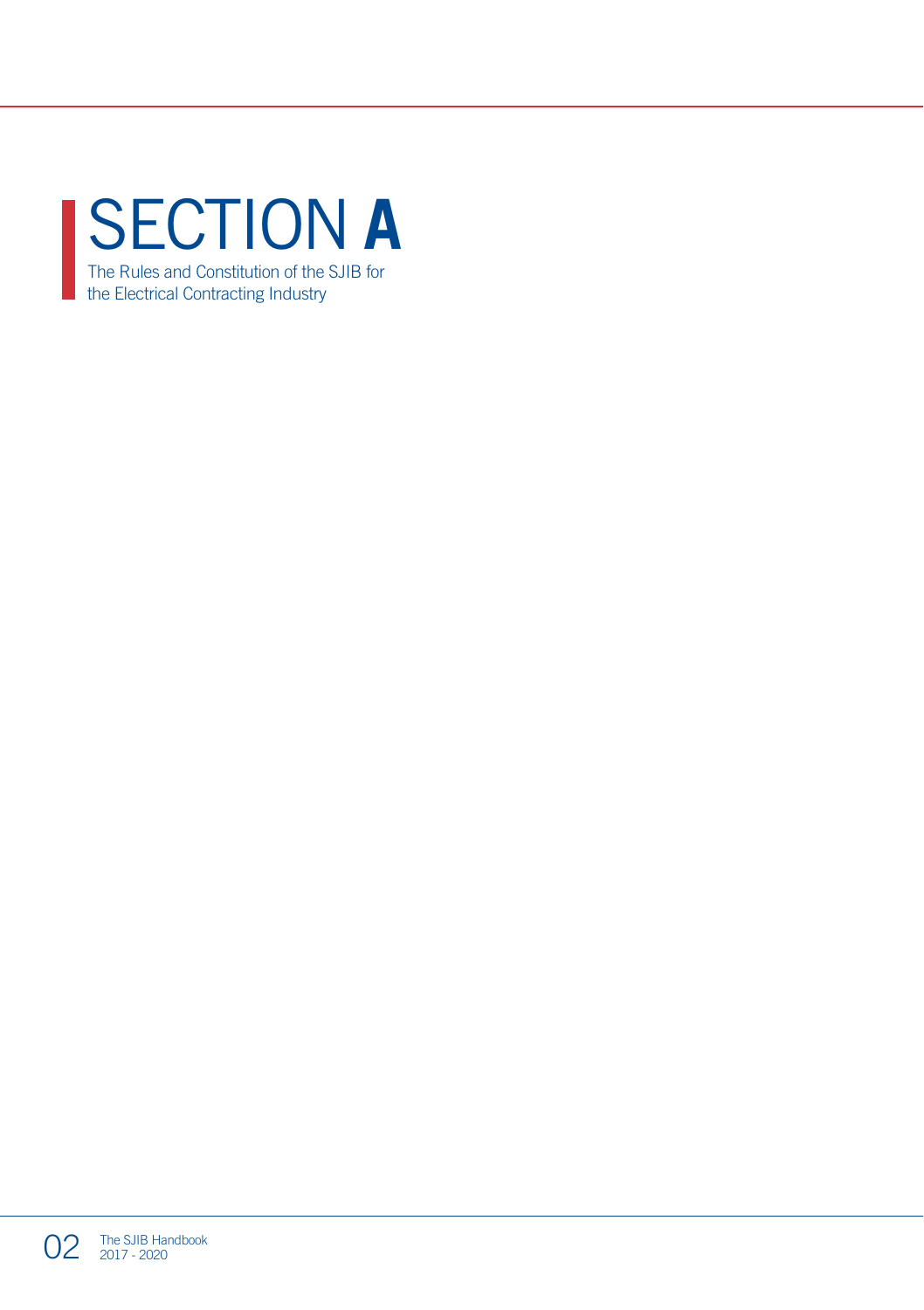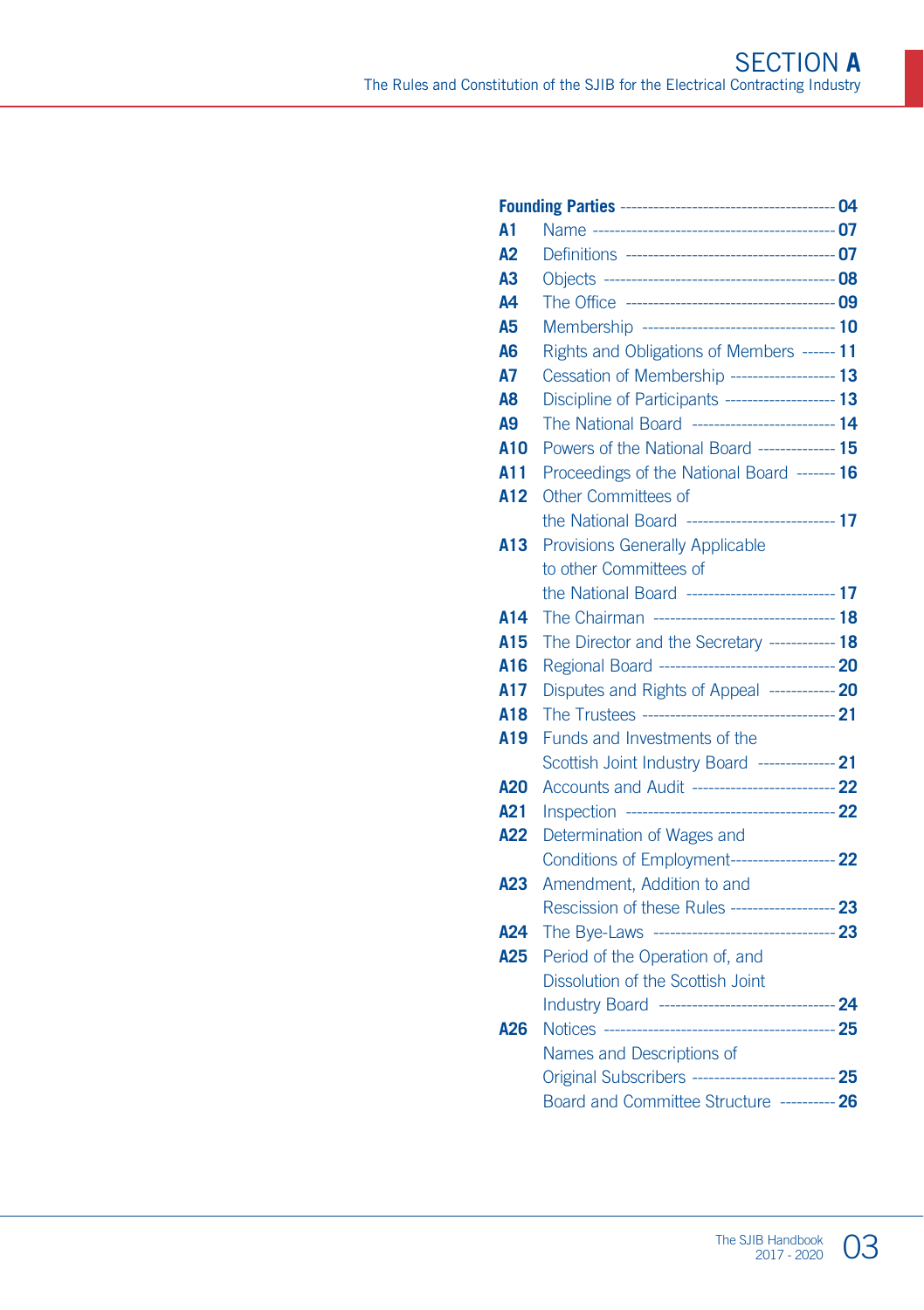| A1              |                                                     |  |
|-----------------|-----------------------------------------------------|--|
| A2              |                                                     |  |
| A <sub>3</sub>  |                                                     |  |
| A4              |                                                     |  |
| A <sub>5</sub>  |                                                     |  |
| A <sub>6</sub>  | Rights and Obligations of Members ------ 11         |  |
| А7              | Cessation of Membership ------------------- 13      |  |
| A <sub>8</sub>  | Discipline of Participants -------------------- 13  |  |
| A <sub>9</sub>  | The National Board -------------------------- 14    |  |
| A <sub>10</sub> | Powers of the National Board -------------- 15      |  |
| A11             | Proceedings of the National Board ------- 16        |  |
| A12             | Other Committees of                                 |  |
|                 | the National Board --------------------------- 17   |  |
| A13             | <b>Provisions Generally Applicable</b>              |  |
|                 | to other Committees of                              |  |
|                 | the National Board ---------------------------- 17  |  |
| A14             |                                                     |  |
| A15             | The Director and the Secretary ------------ 18      |  |
| A <sub>16</sub> | Regional Board -------------------------------- 20  |  |
| A17             | Disputes and Rights of Appeal ------------ 20       |  |
| A18             |                                                     |  |
| A19             | Funds and Investments of the                        |  |
|                 | Scottish Joint Industry Board -------------- 21     |  |
| A20             | Accounts and Audit -------------------------- 22    |  |
| A21             |                                                     |  |
| A22             | Determination of Wages and                          |  |
|                 | Conditions of Employment-------------------- 22     |  |
| A23             | Amendment, Addition to and                          |  |
|                 | Rescission of these Rules ------------------- 23    |  |
| A24             | The Bye-Laws ----------------------------------- 23 |  |
| A25             | Period of the Operation of, and                     |  |
|                 | Dissolution of the Scottish Joint                   |  |
|                 | Industry Board --------------------------------- 24 |  |
| A26             |                                                     |  |
|                 | Names and Descriptions of                           |  |
|                 | Original Subscribers --------------------------- 25 |  |
|                 | Board and Committee Structure ---------- 26         |  |
|                 |                                                     |  |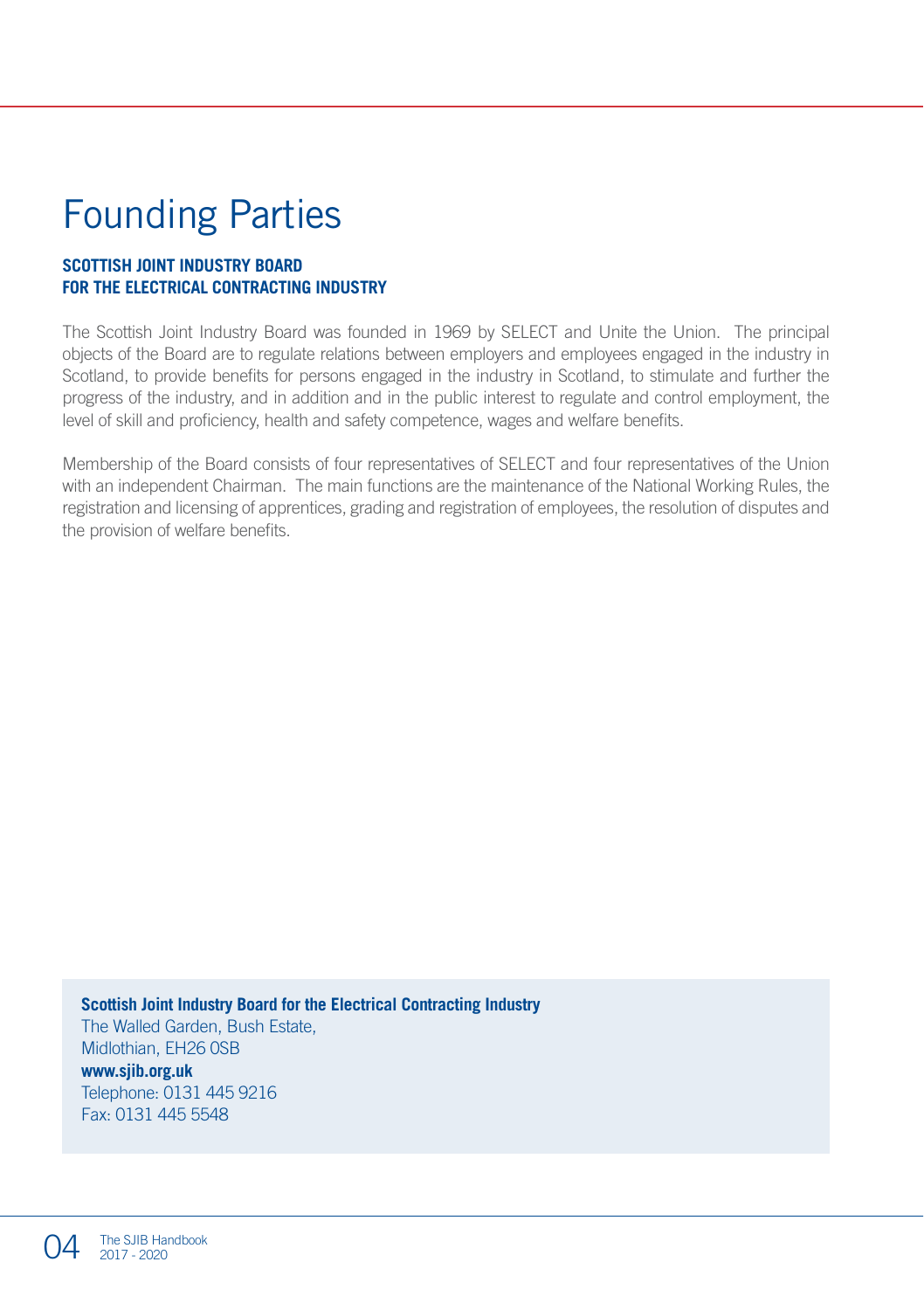# Founding Parties

#### **SCOTTISH JOINT INDUSTRY BOARD FOR THE ELECTRICAL CONTRACTING INDUSTRY**

The Scottish Joint Industry Board was founded in 1969 by SELECT and Unite the Union. The principal objects of the Board are to regulate relations between employers and employees engaged in the industry in Scotland, to provide benefits for persons engaged in the industry in Scotland, to stimulate and further the progress of the industry, and in addition and in the public interest to regulate and control employment, the level of skill and proficiency, health and safety competence, wages and welfare benefits.

Membership of the Board consists of four representatives of SELECT and four representatives of the Union with an independent Chairman. The main functions are the maintenance of the National Working Rules, the registration and licensing of apprentices, grading and registration of employees, the resolution of disputes and the provision of welfare benefits.

**Scottish Joint Industry Board for the Electrical Contracting Industry** The Walled Garden, Bush Estate, Midlothian, EH26 0SB **www.sjib.org.uk** 

Telephone: 0131 445 9216 Fax: 0131 445 5548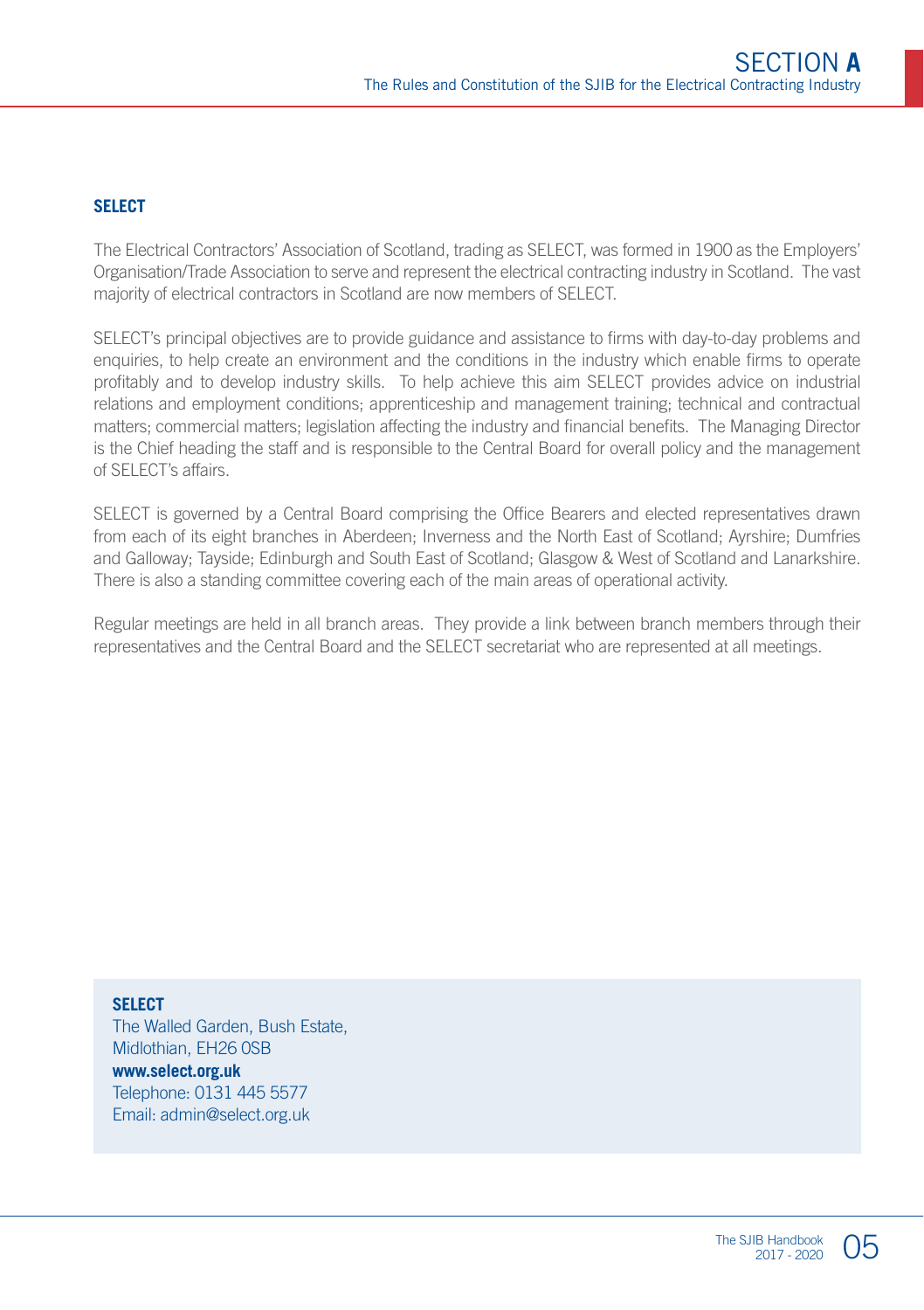#### **SELECT**

The Electrical Contractors' Association of Scotland, trading as SELECT, was formed in 1900 as the Employers' Organisation/Trade Association to serve and represent the electrical contracting industry in Scotland. The vast majority of electrical contractors in Scotland are now members of SELECT.

SELECT's principal objectives are to provide guidance and assistance to firms with day-to-day problems and enquiries, to help create an environment and the conditions in the industry which enable firms to operate profitably and to develop industry skills. To help achieve this aim SELECT provides advice on industrial relations and employment conditions; apprenticeship and management training; technical and contractual matters; commercial matters; legislation affecting the industry and financial benefits. The Managing Director is the Chief heading the staff and is responsible to the Central Board for overall policy and the management of SELECT's affairs.

SELECT is governed by a Central Board comprising the Office Bearers and elected representatives drawn from each of its eight branches in Aberdeen; Inverness and the North East of Scotland; Ayrshire; Dumfries and Galloway; Tayside; Edinburgh and South East of Scotland; Glasgow & West of Scotland and Lanarkshire. There is also a standing committee covering each of the main areas of operational activity.

Regular meetings are held in all branch areas. They provide a link between branch members through their representatives and the Central Board and the SELECT secretariat who are represented at all meetings.

**SELECT**

The Walled Garden, Bush Estate, Midlothian, FH<sub>26</sub> 0SB

**www.select.org.uk**  Telephone: 0131 445 5577 Email: admin@select.org.uk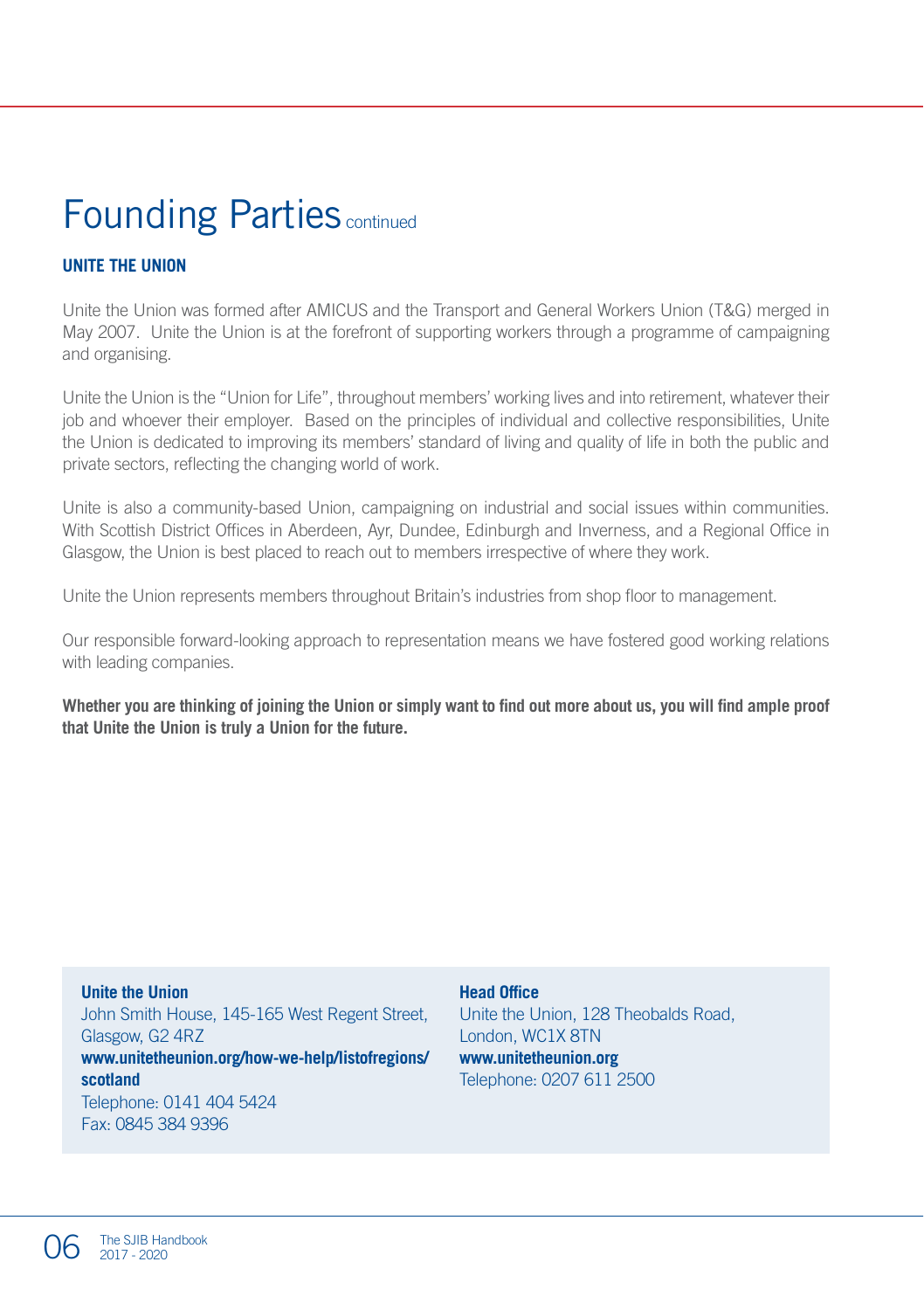# Founding Parties continued

#### **UNITE THE UNION**

Unite the Union was formed after AMICUS and the Transport and General Workers Union (T&G) merged in May 2007. Unite the Union is at the forefront of supporting workers through a programme of campaigning and organising.

Unite the Union is the "Union for Life", throughout members' working lives and into retirement, whatever their job and whoever their employer. Based on the principles of individual and collective responsibilities, Unite the Union is dedicated to improving its members' standard of living and quality of life in both the public and private sectors, reflecting the changing world of work.

Unite is also a community-based Union, campaigning on industrial and social issues within communities. With Scottish District Offices in Aberdeen, Ayr, Dundee, Edinburgh and Inverness, and a Regional Office in Glasgow, the Union is best placed to reach out to members irrespective of where they work.

Unite the Union represents members throughout Britain's industries from shop floor to management.

Our responsible forward-looking approach to representation means we have fostered good working relations with leading companies.

**Whether you are thinking of joining the Union or simply want to find out more about us, you will find ample proof that Unite the Union is truly a Union for the future.**

**Unite the Union** John Smith House, 145-165 West Regent Street, Glasgow, G2 4RZ **www.unitetheunion.org/how-we-help/listofregions/ scotland** Telephone: 0141 404 5424 Fax: 0845 384 9396

**Head Office** Unite the Union, 128 Theobalds Road, London, WC1X 8TN **www.unitetheunion.org** Telephone: 0207 611 2500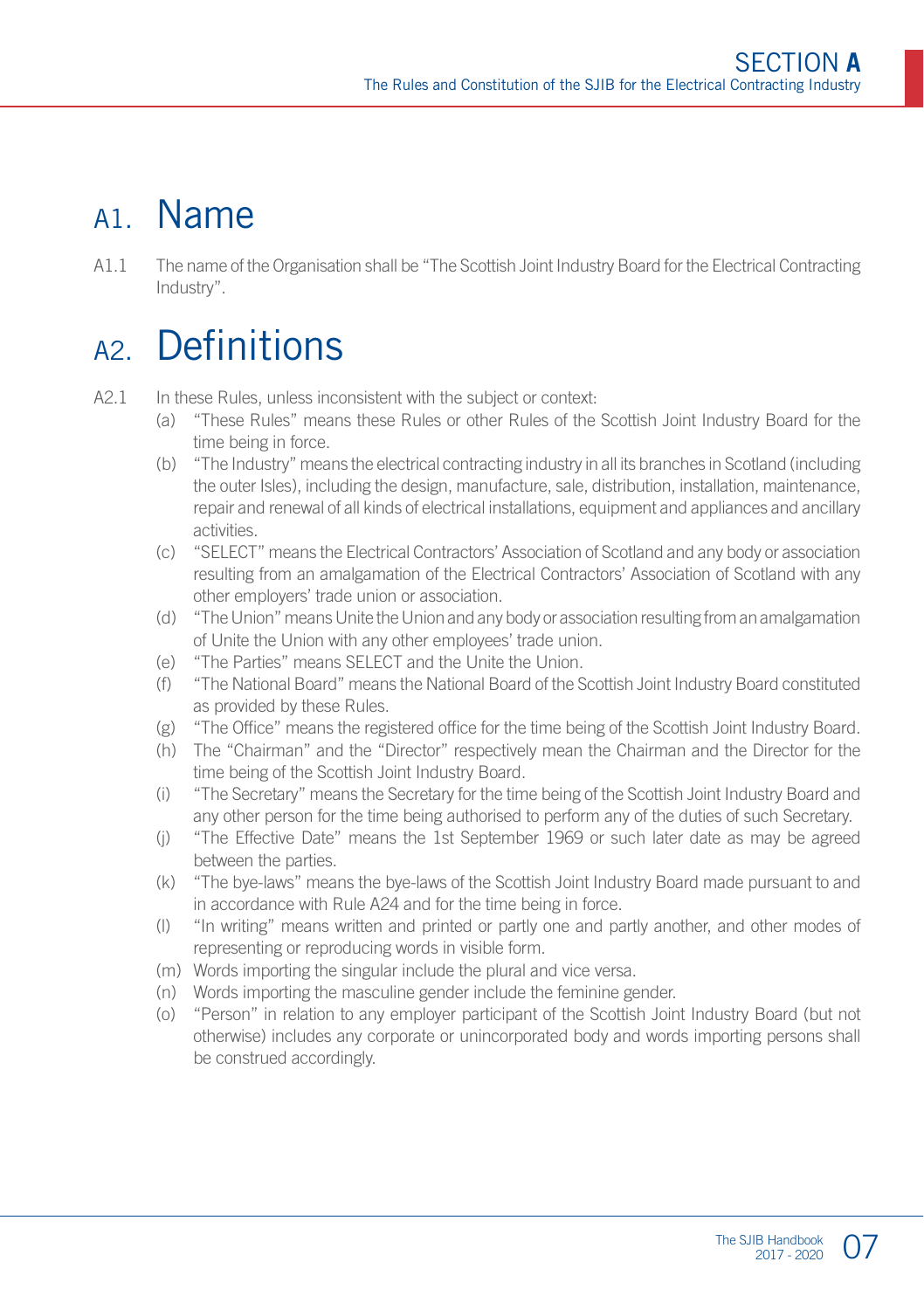#### A1. Name

A1.1 The name of the Organisation shall be "The Scottish Joint Industry Board for the Electrical Contracting Industry".

## A2. Definitions

A2.1 In these Rules, unless inconsistent with the subject or context:

- (a) "These Rules" means these Rules or other Rules of the Scottish Joint Industry Board for the time being in force.
- (b) "The Industry" means the electrical contracting industry in all its branches in Scotland (including the outer Isles), including the design, manufacture, sale, distribution, installation, maintenance, repair and renewal of all kinds of electrical installations, equipment and appliances and ancillary activities.
- (c) "SELECT" means the Electrical Contractors' Association of Scotland and any body or association resulting from an amalgamation of the Electrical Contractors' Association of Scotland with any other employers' trade union or association.
- (d) "The Union" means Unite the Union and any body or association resulting from an amalgamation of Unite the Union with any other employees' trade union.
- (e) "The Parties" means SELECT and the Unite the Union.
- (f) "The National Board" means the National Board of the Scottish Joint Industry Board constituted as provided by these Rules.
- (g) "The Office" means the registered office for the time being of the Scottish Joint Industry Board.
- (h) The "Chairman" and the "Director" respectively mean the Chairman and the Director for the time being of the Scottish Joint Industry Board.
- (i) "The Secretary" means the Secretary for the time being of the Scottish Joint Industry Board and any other person for the time being authorised to perform any of the duties of such Secretary.
- (j) "The Effective Date" means the 1st September 1969 or such later date as may be agreed between the parties.
- (k) "The bye-laws" means the bye-laws of the Scottish Joint Industry Board made pursuant to and in accordance with Rule A24 and for the time being in force.
- (l) "In writing" means written and printed or partly one and partly another, and other modes of representing or reproducing words in visible form.
- (m) Words importing the singular include the plural and vice versa.
- (n) Words importing the masculine gender include the feminine gender.
- (o) "Person" in relation to any employer participant of the Scottish Joint Industry Board (but not otherwise) includes any corporate or unincorporated body and words importing persons shall be construed accordingly.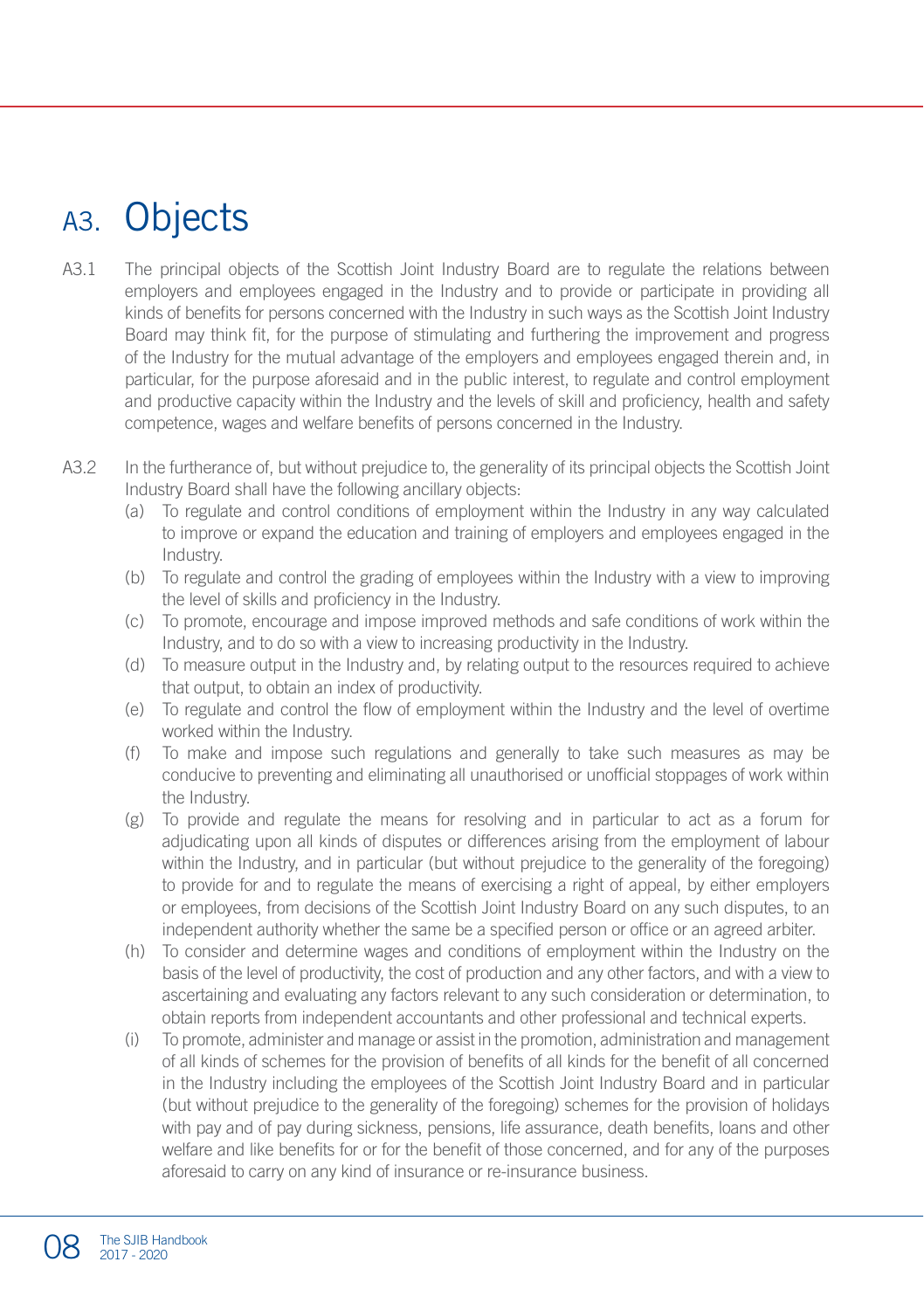# A3. Objects

- A3.1 The principal objects of the Scottish Joint Industry Board are to regulate the relations between employers and employees engaged in the Industry and to provide or participate in providing all kinds of benefits for persons concerned with the Industry in such ways as the Scottish Joint Industry Board may think fit, for the purpose of stimulating and furthering the improvement and progress of the Industry for the mutual advantage of the employers and employees engaged therein and, in particular, for the purpose aforesaid and in the public interest, to regulate and control employment and productive capacity within the Industry and the levels of skill and proficiency, health and safety competence, wages and welfare benefits of persons concerned in the Industry.
- A3.2 In the furtherance of, but without prejudice to, the generality of its principal objects the Scottish Joint Industry Board shall have the following ancillary objects:
	- (a) To regulate and control conditions of employment within the Industry in any way calculated to improve or expand the education and training of employers and employees engaged in the Industry.
	- (b) To regulate and control the grading of employees within the Industry with a view to improving the level of skills and proficiency in the Industry.
	- (c) To promote, encourage and impose improved methods and safe conditions of work within the Industry, and to do so with a view to increasing productivity in the Industry.
	- (d) To measure output in the Industry and, by relating output to the resources required to achieve that output, to obtain an index of productivity.
	- (e) To regulate and control the flow of employment within the Industry and the level of overtime worked within the Industry.
	- (f) To make and impose such regulations and generally to take such measures as may be conducive to preventing and eliminating all unauthorised or unofficial stoppages of work within the Industry.
	- (g) To provide and regulate the means for resolving and in particular to act as a forum for adjudicating upon all kinds of disputes or differences arising from the employment of labour within the Industry, and in particular (but without prejudice to the generality of the foregoing) to provide for and to regulate the means of exercising a right of appeal, by either employers or employees, from decisions of the Scottish Joint Industry Board on any such disputes, to an independent authority whether the same be a specified person or office or an agreed arbiter.
	- (h) To consider and determine wages and conditions of employment within the Industry on the basis of the level of productivity, the cost of production and any other factors, and with a view to ascertaining and evaluating any factors relevant to any such consideration or determination, to obtain reports from independent accountants and other professional and technical experts.
	- (i) To promote, administer and manage or assist in the promotion, administration and management of all kinds of schemes for the provision of benefits of all kinds for the benefit of all concerned in the Industry including the employees of the Scottish Joint Industry Board and in particular (but without prejudice to the generality of the foregoing) schemes for the provision of holidays with pay and of pay during sickness, pensions, life assurance, death benefits, loans and other welfare and like benefits for or for the benefit of those concerned, and for any of the purposes aforesaid to carry on any kind of insurance or re-insurance business.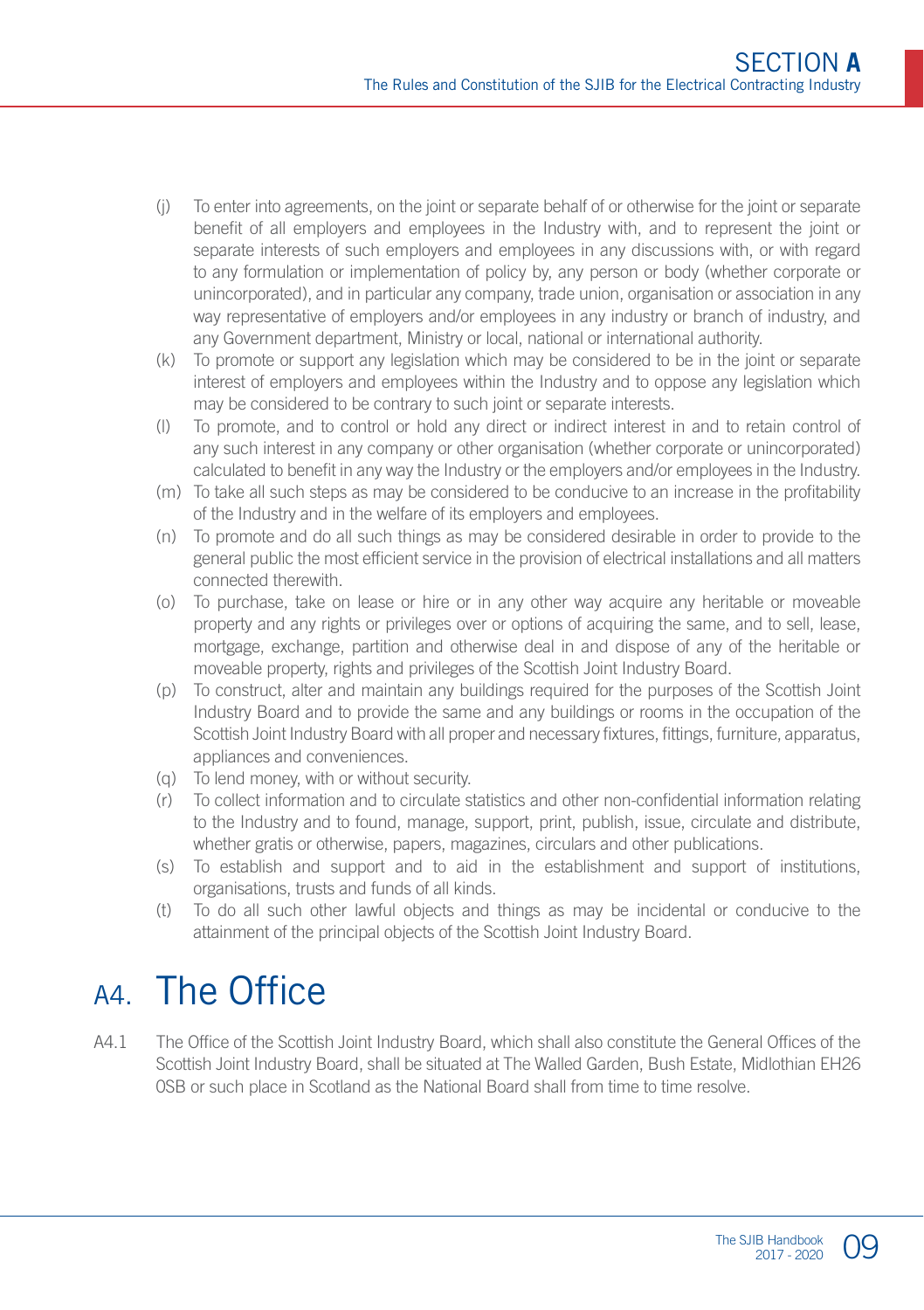- (j) To enter into agreements, on the joint or separate behalf of or otherwise for the joint or separate benefit of all employers and employees in the Industry with, and to represent the joint or separate interests of such employers and employees in any discussions with, or with regard to any formulation or implementation of policy by, any person or body (whether corporate or unincorporated), and in particular any company, trade union, organisation or association in any way representative of employers and/or employees in any industry or branch of industry, and any Government department, Ministry or local, national or international authority.
- (k) To promote or support any legislation which may be considered to be in the joint or separate interest of employers and employees within the Industry and to oppose any legislation which may be considered to be contrary to such joint or separate interests.
- (l) To promote, and to control or hold any direct or indirect interest in and to retain control of any such interest in any company or other organisation (whether corporate or unincorporated) calculated to benefit in any way the Industry or the employers and/or employees in the Industry.
- (m) To take all such steps as may be considered to be conducive to an increase in the profitability of the Industry and in the welfare of its employers and employees.
- (n) To promote and do all such things as may be considered desirable in order to provide to the general public the most efficient service in the provision of electrical installations and all matters connected therewith.
- (o) To purchase, take on lease or hire or in any other way acquire any heritable or moveable property and any rights or privileges over or options of acquiring the same, and to sell, lease, mortgage, exchange, partition and otherwise deal in and dispose of any of the heritable or moveable property, rights and privileges of the Scottish Joint Industry Board.
- (p) To construct, alter and maintain any buildings required for the purposes of the Scottish Joint Industry Board and to provide the same and any buildings or rooms in the occupation of the Scottish Joint Industry Board with all proper and necessary fixtures, fittings, furniture, apparatus, appliances and conveniences.
- (q) To lend money, with or without security.
- (r) To collect information and to circulate statistics and other non-confidential information relating to the Industry and to found, manage, support, print, publish, issue, circulate and distribute, whether gratis or otherwise, papers, magazines, circulars and other publications.
- (s) To establish and support and to aid in the establishment and support of institutions, organisations, trusts and funds of all kinds.
- (t) To do all such other lawful objects and things as may be incidental or conducive to the attainment of the principal objects of the Scottish Joint Industry Board.

#### A4 The Office

A4.1 The Office of the Scottish Joint Industry Board, which shall also constitute the General Offices of the Scottish Joint Industry Board, shall be situated at The Walled Garden, Bush Estate, Midlothian EH26 0SB or such place in Scotland as the National Board shall from time to time resolve.

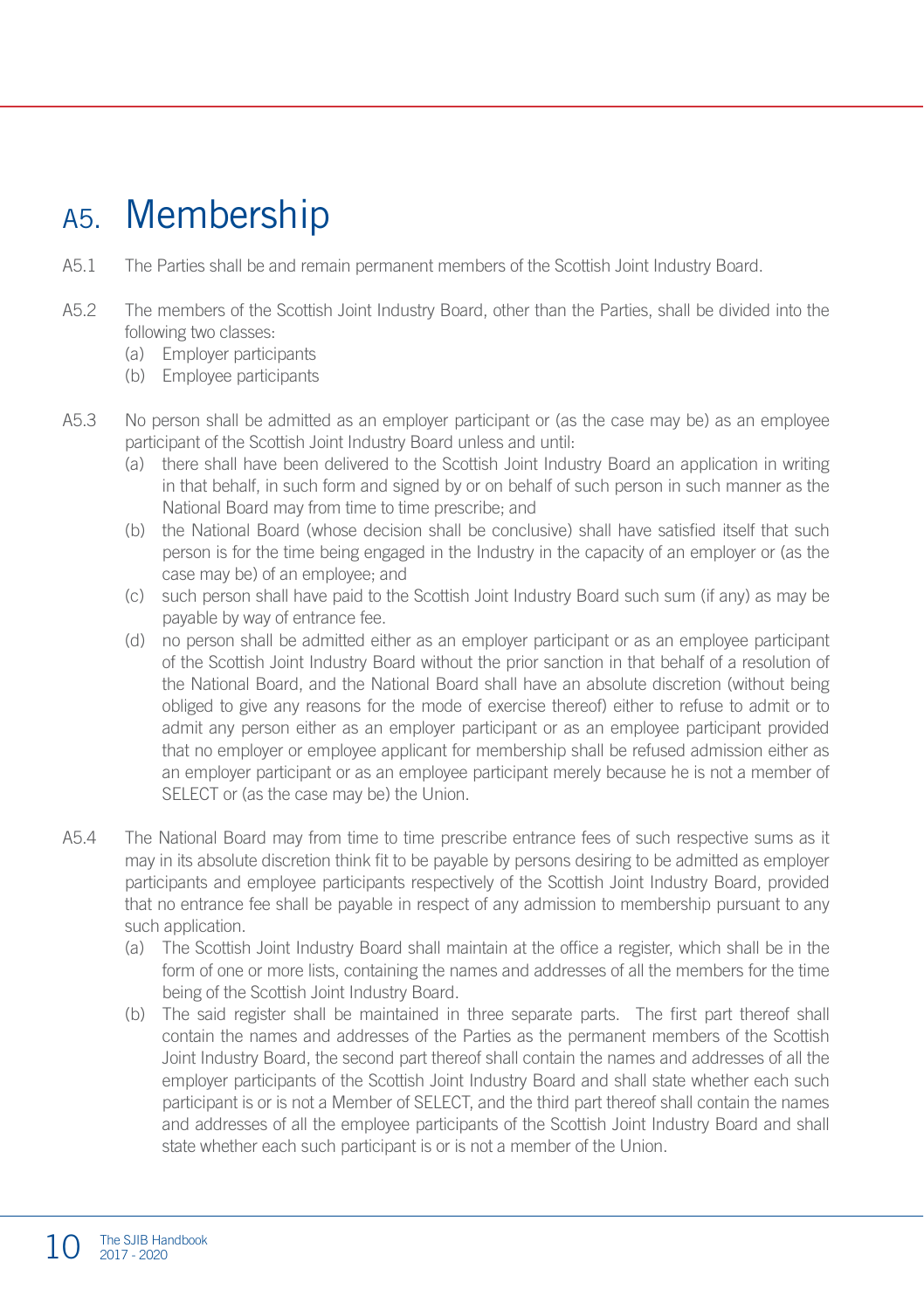#### A5. Membership

- A5.1 The Parties shall be and remain permanent members of the Scottish Joint Industry Board.
- A5.2 The members of the Scottish Joint Industry Board, other than the Parties, shall be divided into the following two classes:
	- (a) Employer participants
	- (b) Employee participants
- A5.3 No person shall be admitted as an employer participant or (as the case may be) as an employee participant of the Scottish Joint Industry Board unless and until:
	- (a) there shall have been delivered to the Scottish Joint Industry Board an application in writing in that behalf, in such form and signed by or on behalf of such person in such manner as the National Board may from time to time prescribe; and
	- (b) the National Board (whose decision shall be conclusive) shall have satisfied itself that such person is for the time being engaged in the Industry in the capacity of an employer or (as the case may be) of an employee; and
	- (c) such person shall have paid to the Scottish Joint Industry Board such sum (if any) as may be payable by way of entrance fee.
	- (d) no person shall be admitted either as an employer participant or as an employee participant of the Scottish Joint Industry Board without the prior sanction in that behalf of a resolution of the National Board, and the National Board shall have an absolute discretion (without being obliged to give any reasons for the mode of exercise thereof) either to refuse to admit or to admit any person either as an employer participant or as an employee participant provided that no employer or employee applicant for membership shall be refused admission either as an employer participant or as an employee participant merely because he is not a member of SELECT or (as the case may be) the Union.
- A5.4 The National Board may from time to time prescribe entrance fees of such respective sums as it may in its absolute discretion think fit to be payable by persons desiring to be admitted as employer participants and employee participants respectively of the Scottish Joint Industry Board, provided that no entrance fee shall be payable in respect of any admission to membership pursuant to any such application.
	- (a) The Scottish Joint Industry Board shall maintain at the office a register, which shall be in the form of one or more lists, containing the names and addresses of all the members for the time being of the Scottish Joint Industry Board.
	- (b) The said register shall be maintained in three separate parts. The first part thereof shall contain the names and addresses of the Parties as the permanent members of the Scottish Joint Industry Board, the second part thereof shall contain the names and addresses of all the employer participants of the Scottish Joint Industry Board and shall state whether each such participant is or is not a Member of SELECT, and the third part thereof shall contain the names and addresses of all the employee participants of the Scottish Joint Industry Board and shall state whether each such participant is or is not a member of the Union.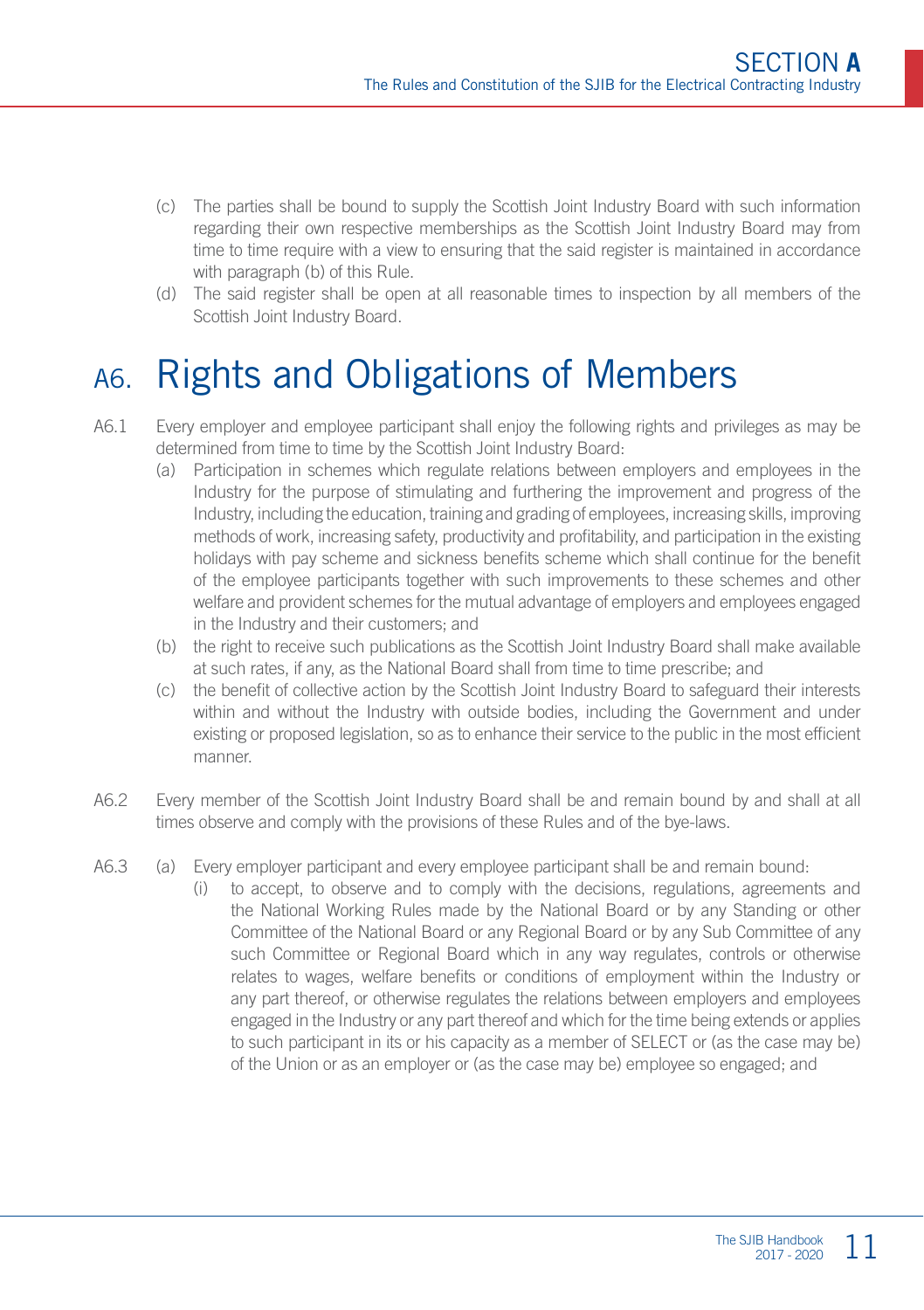- (c) The parties shall be bound to supply the Scottish Joint Industry Board with such information regarding their own respective memberships as the Scottish Joint Industry Board may from time to time require with a view to ensuring that the said register is maintained in accordance with paragraph (b) of this Rule.
- (d) The said register shall be open at all reasonable times to inspection by all members of the Scottish Joint Industry Board.

#### A6. Rights and Obligations of Members

- A6.1 Every employer and employee participant shall enjoy the following rights and privileges as may be determined from time to time by the Scottish Joint Industry Board:
	- (a) Participation in schemes which regulate relations between employers and employees in the Industry for the purpose of stimulating and furthering the improvement and progress of the Industry, including the education, training and grading of employees, increasing skills, improving methods of work, increasing safety, productivity and profitability, and participation in the existing holidays with pay scheme and sickness benefits scheme which shall continue for the benefit of the employee participants together with such improvements to these schemes and other welfare and provident schemes for the mutual advantage of employers and employees engaged in the Industry and their customers; and
	- (b) the right to receive such publications as the Scottish Joint Industry Board shall make available at such rates, if any, as the National Board shall from time to time prescribe; and
	- (c) the benefit of collective action by the Scottish Joint Industry Board to safeguard their interests within and without the Industry with outside bodies, including the Government and under existing or proposed legislation, so as to enhance their service to the public in the most efficient manner.
- A6.2 Every member of the Scottish Joint Industry Board shall be and remain bound by and shall at all times observe and comply with the provisions of these Rules and of the bye-laws.
- A6.3 (a) Every employer participant and every employee participant shall be and remain bound:
	- (i) to accept, to observe and to comply with the decisions, regulations, agreements and the National Working Rules made by the National Board or by any Standing or other Committee of the National Board or any Regional Board or by any Sub Committee of any such Committee or Regional Board which in any way regulates, controls or otherwise relates to wages, welfare benefits or conditions of employment within the Industry or any part thereof, or otherwise regulates the relations between employers and employees engaged in the Industry or any part thereof and which for the time being extends or applies to such participant in its or his capacity as a member of SELECT or (as the case may be) of the Union or as an employer or (as the case may be) employee so engaged; and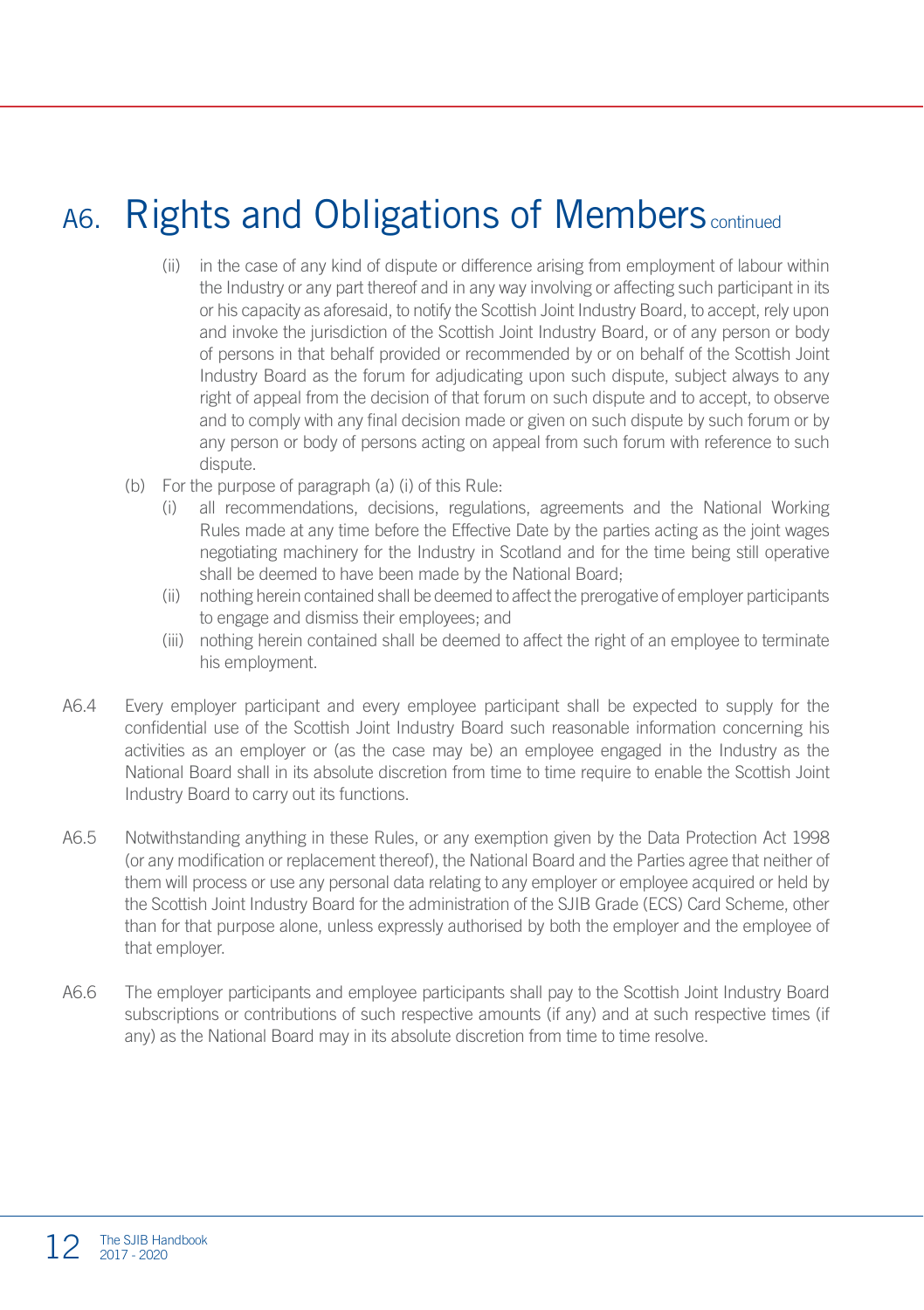# A6. Rights and Obligations of Members continued

- (ii) in the case of any kind of dispute or difference arising from employment of labour within the Industry or any part thereof and in any way involving or affecting such participant in its or his capacity as aforesaid, to notify the Scottish Joint Industry Board, to accept, rely upon and invoke the jurisdiction of the Scottish Joint Industry Board, or of any person or body of persons in that behalf provided or recommended by or on behalf of the Scottish Joint Industry Board as the forum for adjudicating upon such dispute, subject always to any right of appeal from the decision of that forum on such dispute and to accept, to observe and to comply with any final decision made or given on such dispute by such forum or by any person or body of persons acting on appeal from such forum with reference to such dispute.
- (b) For the purpose of paragraph (a) (i) of this Rule:
	- (i) all recommendations, decisions, regulations, agreements and the National Working Rules made at any time before the Effective Date by the parties acting as the joint wages negotiating machinery for the Industry in Scotland and for the time being still operative shall be deemed to have been made by the National Board;
	- (ii) nothing herein contained shall be deemed to affect the prerogative of employer participants to engage and dismiss their employees; and
	- (iii) nothing herein contained shall be deemed to affect the right of an employee to terminate his employment.
- A6.4 Every employer participant and every employee participant shall be expected to supply for the confidential use of the Scottish Joint Industry Board such reasonable information concerning his activities as an employer or (as the case may be) an employee engaged in the Industry as the National Board shall in its absolute discretion from time to time require to enable the Scottish Joint Industry Board to carry out its functions.
- A6.5 Notwithstanding anything in these Rules, or any exemption given by the Data Protection Act 1998 (or any modification or replacement thereof), the National Board and the Parties agree that neither of them will process or use any personal data relating to any employer or employee acquired or held by the Scottish Joint Industry Board for the administration of the SJIB Grade (ECS) Card Scheme, other than for that purpose alone, unless expressly authorised by both the employer and the employee of that employer.
- A6.6 The employer participants and employee participants shall pay to the Scottish Joint Industry Board subscriptions or contributions of such respective amounts (if any) and at such respective times (if any) as the National Board may in its absolute discretion from time to time resolve.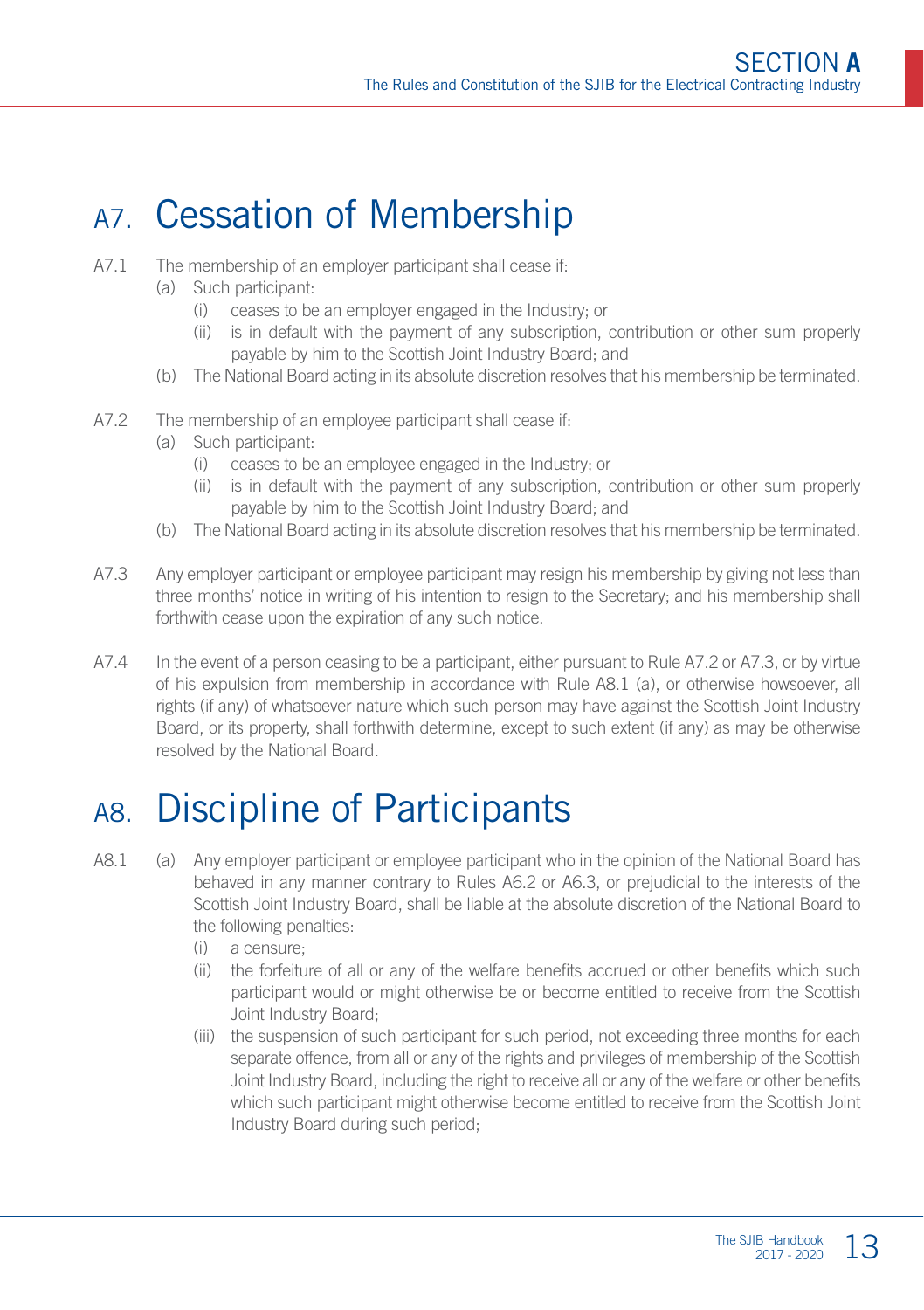## A7. Cessation of Membership

- A7.1 The membership of an employer participant shall cease if:
	- (a) Such participant:
		- (i) ceases to be an employer engaged in the Industry; or
		- (ii) is in default with the payment of any subscription, contribution or other sum properly payable by him to the Scottish Joint Industry Board; and
	- (b) The National Board acting in its absolute discretion resolves that his membership be terminated.
- A7.2 The membership of an employee participant shall cease if:
	- (a) Such participant:
		- (i) ceases to be an employee engaged in the Industry; or
		- (ii) is in default with the payment of any subscription, contribution or other sum properly payable by him to the Scottish Joint Industry Board; and
	- (b) The National Board acting in its absolute discretion resolves that his membership be terminated.
- A7.3 Any employer participant or employee participant may resign his membership by giving not less than three months' notice in writing of his intention to resign to the Secretary; and his membership shall forthwith cease upon the expiration of any such notice.
- A7.4 In the event of a person ceasing to be a participant, either pursuant to Rule A7.2 or A7.3, or by virtue of his expulsion from membership in accordance with Rule A8.1 (a), or otherwise howsoever, all rights (if any) of whatsoever nature which such person may have against the Scottish Joint Industry Board, or its property, shall forthwith determine, except to such extent (if any) as may be otherwise resolved by the National Board.

# A8. Discipline of Participants

- A8.1 (a) Any employer participant or employee participant who in the opinion of the National Board has behaved in any manner contrary to Rules A6.2 or A6.3, or prejudicial to the interests of the Scottish Joint Industry Board, shall be liable at the absolute discretion of the National Board to the following penalties:
	- (i) a censure;
	- (ii) the forfeiture of all or any of the welfare benefits accrued or other benefits which such participant would or might otherwise be or become entitled to receive from the Scottish Joint Industry Board;
	- (iii) the suspension of such participant for such period, not exceeding three months for each separate offence, from all or any of the rights and privileges of membership of the Scottish Joint Industry Board, including the right to receive all or any of the welfare or other benefits which such participant might otherwise become entitled to receive from the Scottish Joint Industry Board during such period;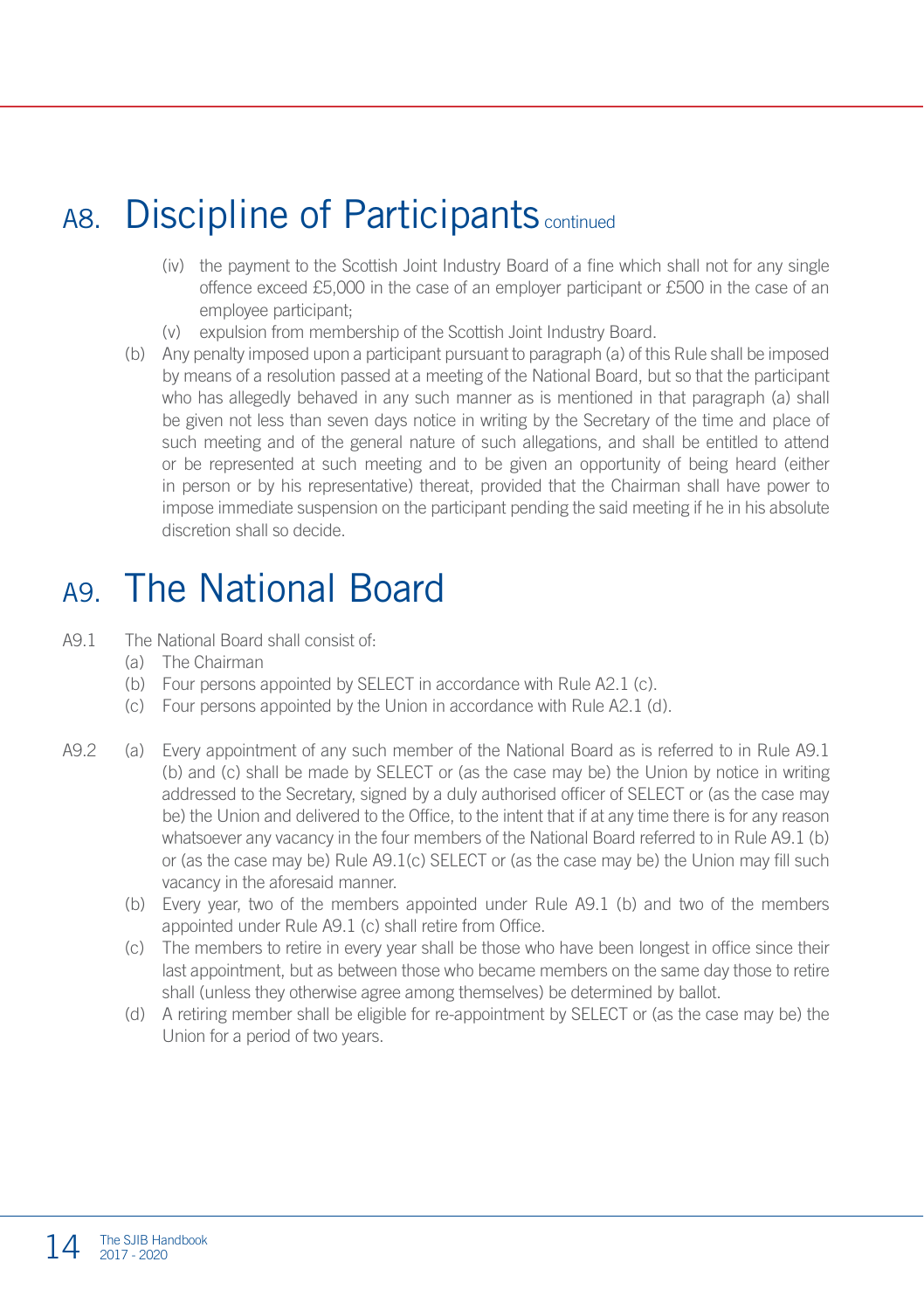## A8. Discipline of Participants continued

- (iv) the payment to the Scottish Joint Industry Board of a fine which shall not for any single offence exceed £5,000 in the case of an employer participant or £500 in the case of an employee participant;
- (v) expulsion from membership of the Scottish Joint Industry Board.
- (b) Any penalty imposed upon a participant pursuant to paragraph (a) of this Rule shall be imposed by means of a resolution passed at a meeting of the National Board, but so that the participant who has allegedly behaved in any such manner as is mentioned in that paragraph (a) shall be given not less than seven days notice in writing by the Secretary of the time and place of such meeting and of the general nature of such allegations, and shall be entitled to attend or be represented at such meeting and to be given an opportunity of being heard (either in person or by his representative) thereat, provided that the Chairman shall have power to impose immediate suspension on the participant pending the said meeting if he in his absolute discretion shall so decide.

#### A9. The National Board

- A9.1 The National Board shall consist of:
	- (a) The Chairman
	- (b) Four persons appointed by SELECT in accordance with Rule A2.1 (c).
	- (c) Four persons appointed by the Union in accordance with Rule A2.1 (d).
- A9.2 (a) Every appointment of any such member of the National Board as is referred to in Rule A9.1 (b) and (c) shall be made by SELECT or (as the case may be) the Union by notice in writing addressed to the Secretary, signed by a duly authorised officer of SELECT or (as the case may be) the Union and delivered to the Office, to the intent that if at any time there is for any reason whatsoever any vacancy in the four members of the National Board referred to in Rule A9.1 (b) or (as the case may be) Rule A9.1(c) SELECT or (as the case may be) the Union may fill such vacancy in the aforesaid manner.
	- (b) Every year, two of the members appointed under Rule A9.1 (b) and two of the members appointed under Rule A9.1 (c) shall retire from Office.
	- (c) The members to retire in every year shall be those who have been longest in office since their last appointment, but as between those who became members on the same day those to retire shall (unless they otherwise agree among themselves) be determined by ballot.
	- (d) A retiring member shall be eligible for re-appointment by SELECT or (as the case may be) the Union for a period of two years.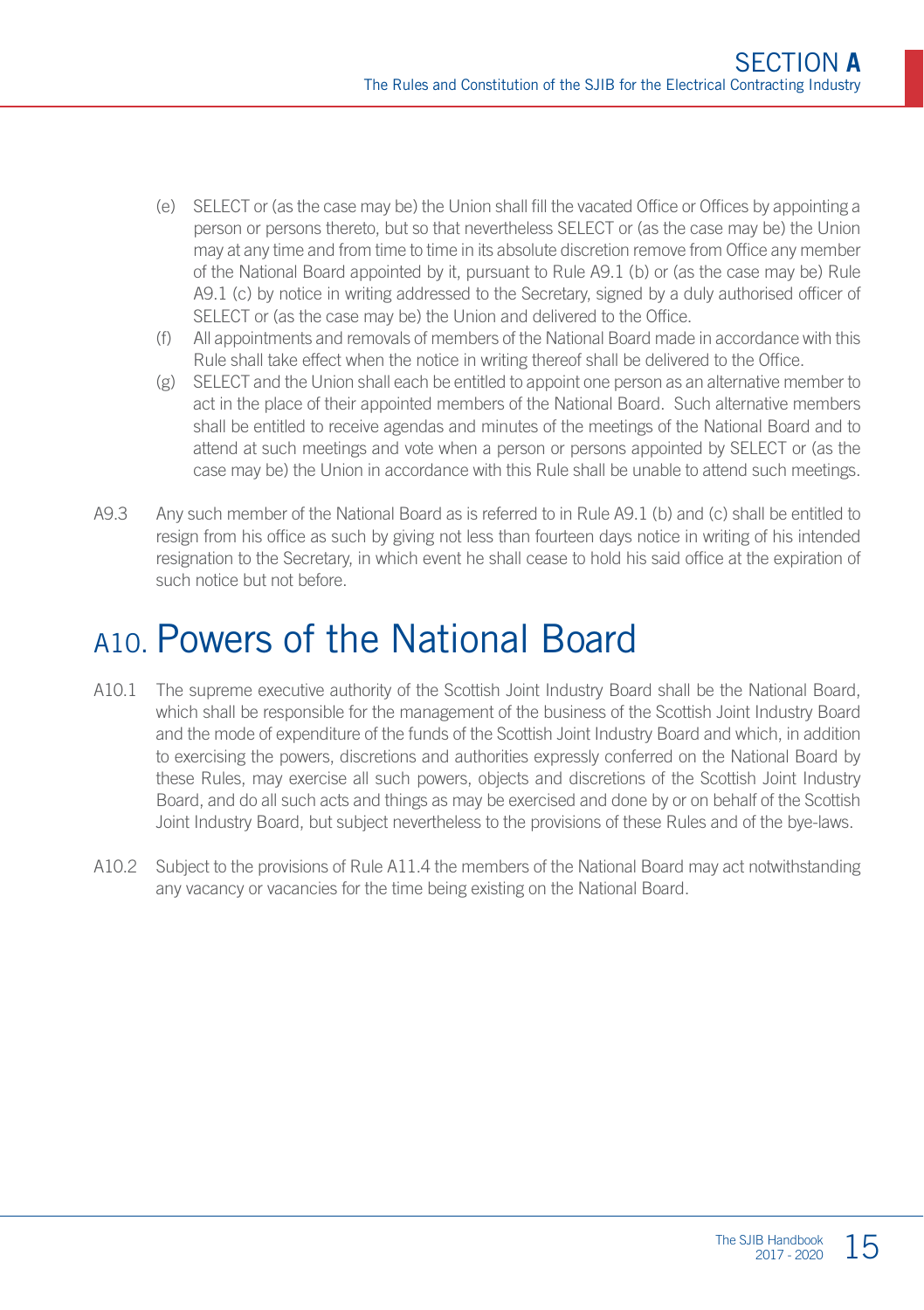- (e) SELECT or (as the case may be) the Union shall fill the vacated Office or Offices by appointing a person or persons thereto, but so that nevertheless SELECT or (as the case may be) the Union may at any time and from time to time in its absolute discretion remove from Office any member of the National Board appointed by it, pursuant to Rule A9.1 (b) or (as the case may be) Rule A9.1 (c) by notice in writing addressed to the Secretary, signed by a duly authorised officer of SELECT or (as the case may be) the Union and delivered to the Office.
- (f) All appointments and removals of members of the National Board made in accordance with this Rule shall take effect when the notice in writing thereof shall be delivered to the Office.
- (g) SELECT and the Union shall each be entitled to appoint one person as an alternative member to act in the place of their appointed members of the National Board. Such alternative members shall be entitled to receive agendas and minutes of the meetings of the National Board and to attend at such meetings and vote when a person or persons appointed by SELECT or (as the case may be) the Union in accordance with this Rule shall be unable to attend such meetings.
- A9.3 Any such member of the National Board as is referred to in Rule A9.1 (b) and (c) shall be entitled to resign from his office as such by giving not less than fourteen days notice in writing of his intended resignation to the Secretary, in which event he shall cease to hold his said office at the expiration of such notice but not before.

#### A10. Powers of the National Board

- A10.1 The supreme executive authority of the Scottish Joint Industry Board shall be the National Board, which shall be responsible for the management of the business of the Scottish Joint Industry Board and the mode of expenditure of the funds of the Scottish Joint Industry Board and which, in addition to exercising the powers, discretions and authorities expressly conferred on the National Board by these Rules, may exercise all such powers, objects and discretions of the Scottish Joint Industry Board, and do all such acts and things as may be exercised and done by or on behalf of the Scottish Joint Industry Board, but subject nevertheless to the provisions of these Rules and of the bye-laws.
- A10.2 Subject to the provisions of Rule A11.4 the members of the National Board may act notwithstanding any vacancy or vacancies for the time being existing on the National Board.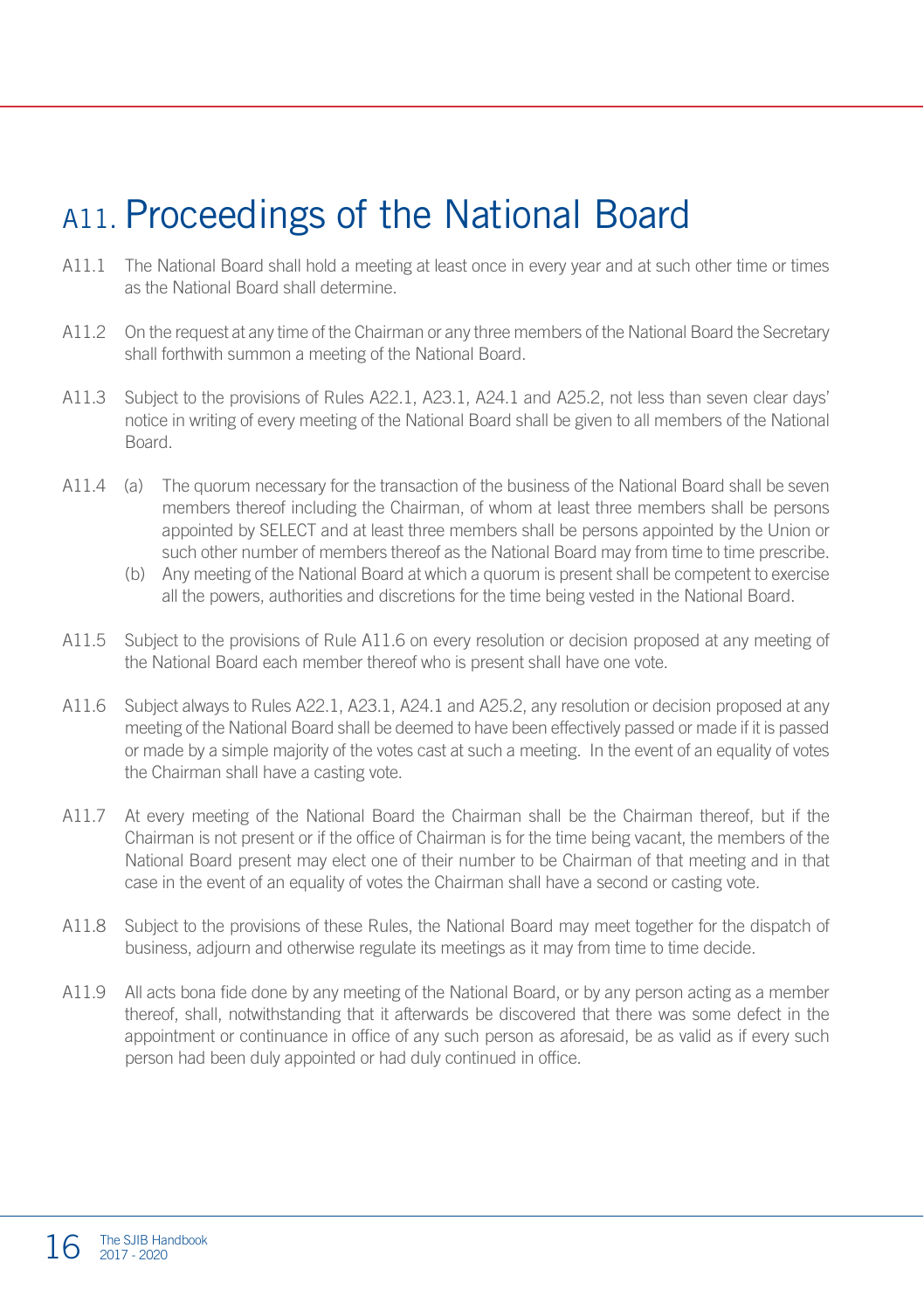## A11. Proceedings of the National Board

- A11.1 The National Board shall hold a meeting at least once in every year and at such other time or times as the National Board shall determine.
- A11.2 On the request at any time of the Chairman or any three members of the National Board the Secretary shall forthwith summon a meeting of the National Board.
- A11.3 Subject to the provisions of Rules A22.1, A23.1, A24.1 and A25.2, not less than seven clear days' notice in writing of every meeting of the National Board shall be given to all members of the National Board.
- A11.4 (a) The quorum necessary for the transaction of the business of the National Board shall be seven members thereof including the Chairman, of whom at least three members shall be persons appointed by SELECT and at least three members shall be persons appointed by the Union or such other number of members thereof as the National Board may from time to time prescribe.
	- (b) Any meeting of the National Board at which a quorum is present shall be competent to exercise all the powers, authorities and discretions for the time being vested in the National Board.
- A11.5 Subject to the provisions of Rule A11.6 on every resolution or decision proposed at any meeting of the National Board each member thereof who is present shall have one vote.
- A11.6 Subject always to Rules A22.1, A23.1, A24.1 and A25.2, any resolution or decision proposed at any meeting of the National Board shall be deemed to have been effectively passed or made if it is passed or made by a simple majority of the votes cast at such a meeting. In the event of an equality of votes the Chairman shall have a casting vote.
- A11.7 At every meeting of the National Board the Chairman shall be the Chairman thereof, but if the Chairman is not present or if the office of Chairman is for the time being vacant, the members of the National Board present may elect one of their number to be Chairman of that meeting and in that case in the event of an equality of votes the Chairman shall have a second or casting vote.
- A11.8 Subject to the provisions of these Rules, the National Board may meet together for the dispatch of business, adjourn and otherwise regulate its meetings as it may from time to time decide.
- A11.9 All acts bona fide done by any meeting of the National Board, or by any person acting as a member thereof, shall, notwithstanding that it afterwards be discovered that there was some defect in the appointment or continuance in office of any such person as aforesaid, be as valid as if every such person had been duly appointed or had duly continued in office.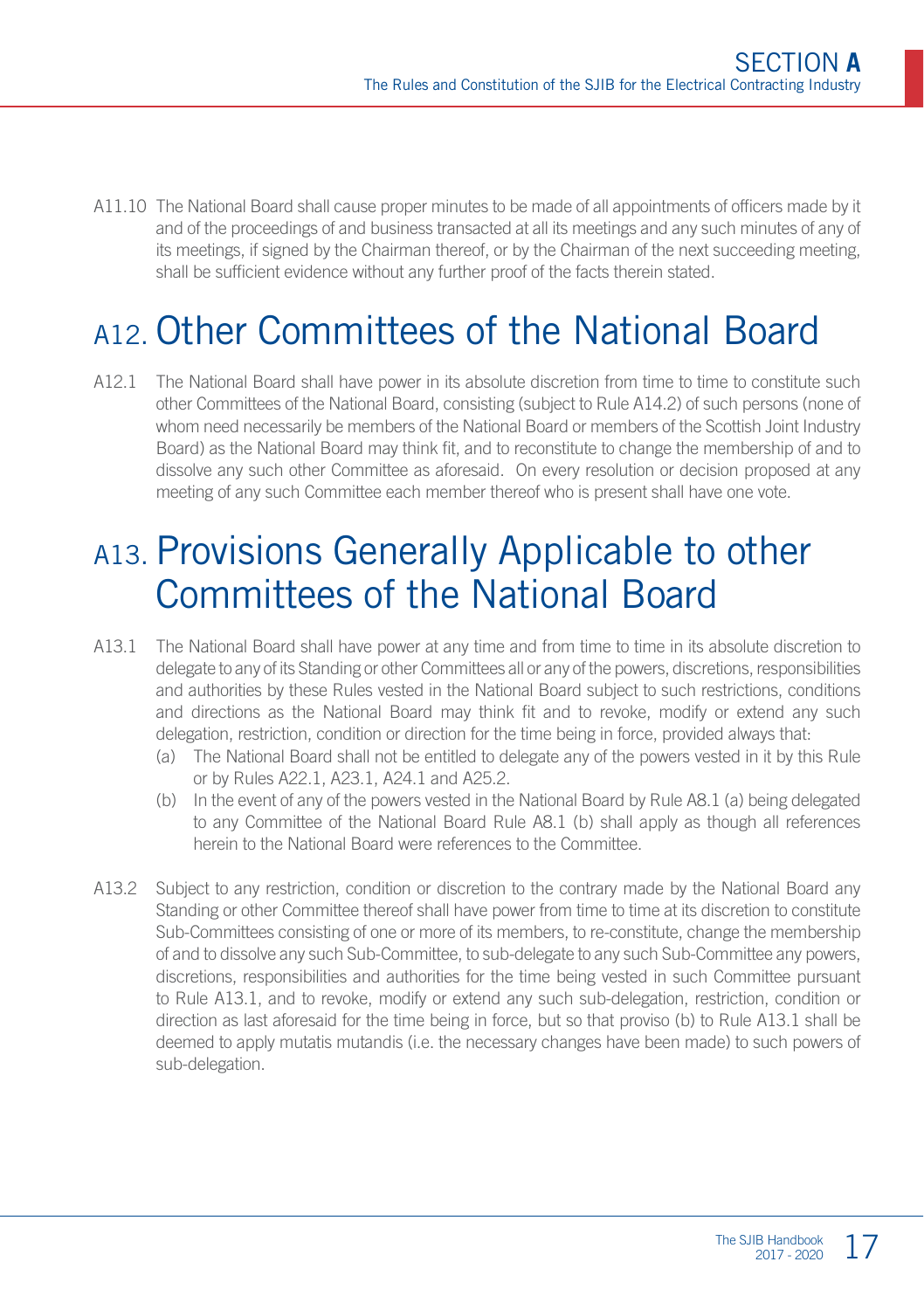A11.10 The National Board shall cause proper minutes to be made of all appointments of officers made by it and of the proceedings of and business transacted at all its meetings and any such minutes of any of its meetings, if signed by the Chairman thereof, or by the Chairman of the next succeeding meeting, shall be sufficient evidence without any further proof of the facts therein stated.

# A12. Other Committees of the National Board

A12.1 The National Board shall have power in its absolute discretion from time to time to constitute such other Committees of the National Board, consisting (subject to Rule A14.2) of such persons (none of whom need necessarily be members of the National Board or members of the Scottish Joint Industry Board) as the National Board may think fit, and to reconstitute to change the membership of and to dissolve any such other Committee as aforesaid. On every resolution or decision proposed at any meeting of any such Committee each member thereof who is present shall have one vote.

#### A13. Provisions Generally Applicable to other Committees of the National Board

- A13.1 The National Board shall have power at any time and from time to time in its absolute discretion to delegate to any of its Standing or other Committees all or any of the powers, discretions, responsibilities and authorities by these Rules vested in the National Board subject to such restrictions, conditions and directions as the National Board may think fit and to revoke, modify or extend any such delegation, restriction, condition or direction for the time being in force, provided always that:
	- (a) The National Board shall not be entitled to delegate any of the powers vested in it by this Rule or by Rules A22.1, A23.1, A24.1 and A25.2.
	- (b) In the event of any of the powers vested in the National Board by Rule A8.1 (a) being delegated to any Committee of the National Board Rule A8.1 (b) shall apply as though all references herein to the National Board were references to the Committee.
- A13.2 Subject to any restriction, condition or discretion to the contrary made by the National Board any Standing or other Committee thereof shall have power from time to time at its discretion to constitute Sub-Committees consisting of one or more of its members, to re-constitute, change the membership of and to dissolve any such Sub-Committee, to sub-delegate to any such Sub-Committee any powers, discretions, responsibilities and authorities for the time being vested in such Committee pursuant to Rule A13.1, and to revoke, modify or extend any such sub-delegation, restriction, condition or direction as last aforesaid for the time being in force, but so that proviso (b) to Rule A13.1 shall be deemed to apply mutatis mutandis (i.e. the necessary changes have been made) to such powers of sub-delegation.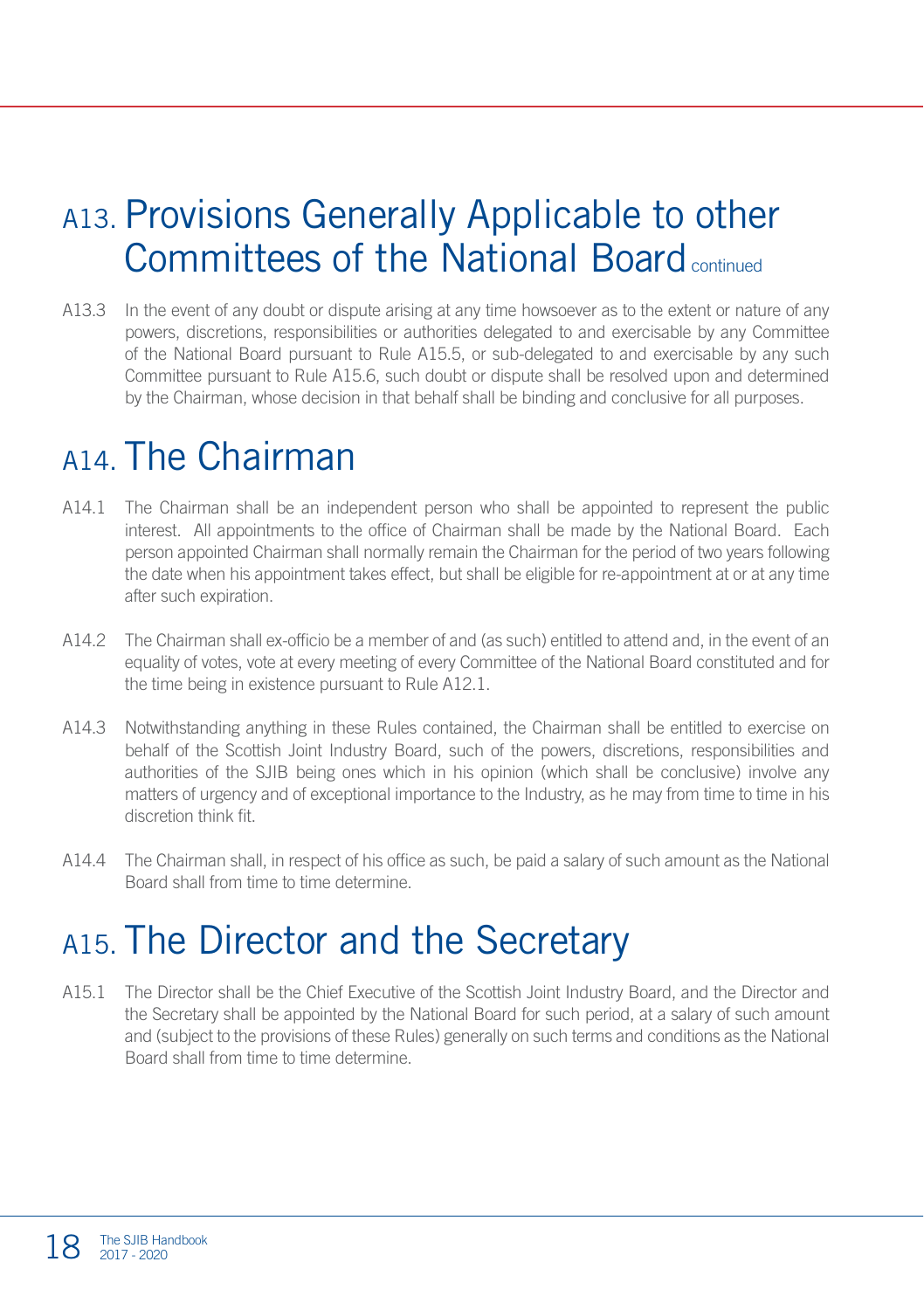#### A13. Provisions Generally Applicable to other Committees of the National Board continued

A13.3 In the event of any doubt or dispute arising at any time howsoever as to the extent or nature of any powers, discretions, responsibilities or authorities delegated to and exercisable by any Committee of the National Board pursuant to Rule A15.5, or sub-delegated to and exercisable by any such Committee pursuant to Rule A15.6, such doubt or dispute shall be resolved upon and determined by the Chairman, whose decision in that behalf shall be binding and conclusive for all purposes.

#### A14. The Chairman

- A14.1 The Chairman shall be an independent person who shall be appointed to represent the public interest. All appointments to the office of Chairman shall be made by the National Board. Each person appointed Chairman shall normally remain the Chairman for the period of two years following the date when his appointment takes effect, but shall be eligible for re-appointment at or at any time after such expiration.
- A14.2 The Chairman shall ex-officio be a member of and (as such) entitled to attend and, in the event of an equality of votes, vote at every meeting of every Committee of the National Board constituted and for the time being in existence pursuant to Rule A12.1.
- A14.3 Notwithstanding anything in these Rules contained, the Chairman shall be entitled to exercise on behalf of the Scottish Joint Industry Board, such of the powers, discretions, responsibilities and authorities of the SJIB being ones which in his opinion (which shall be conclusive) involve any matters of urgency and of exceptional importance to the Industry, as he may from time to time in his discretion think fit.
- A14.4 The Chairman shall, in respect of his office as such, be paid a salary of such amount as the National Board shall from time to time determine.

#### A15. The Director and the Secretary

A15.1 The Director shall be the Chief Executive of the Scottish Joint Industry Board, and the Director and the Secretary shall be appointed by the National Board for such period, at a salary of such amount and (subject to the provisions of these Rules) generally on such terms and conditions as the National Board shall from time to time determine.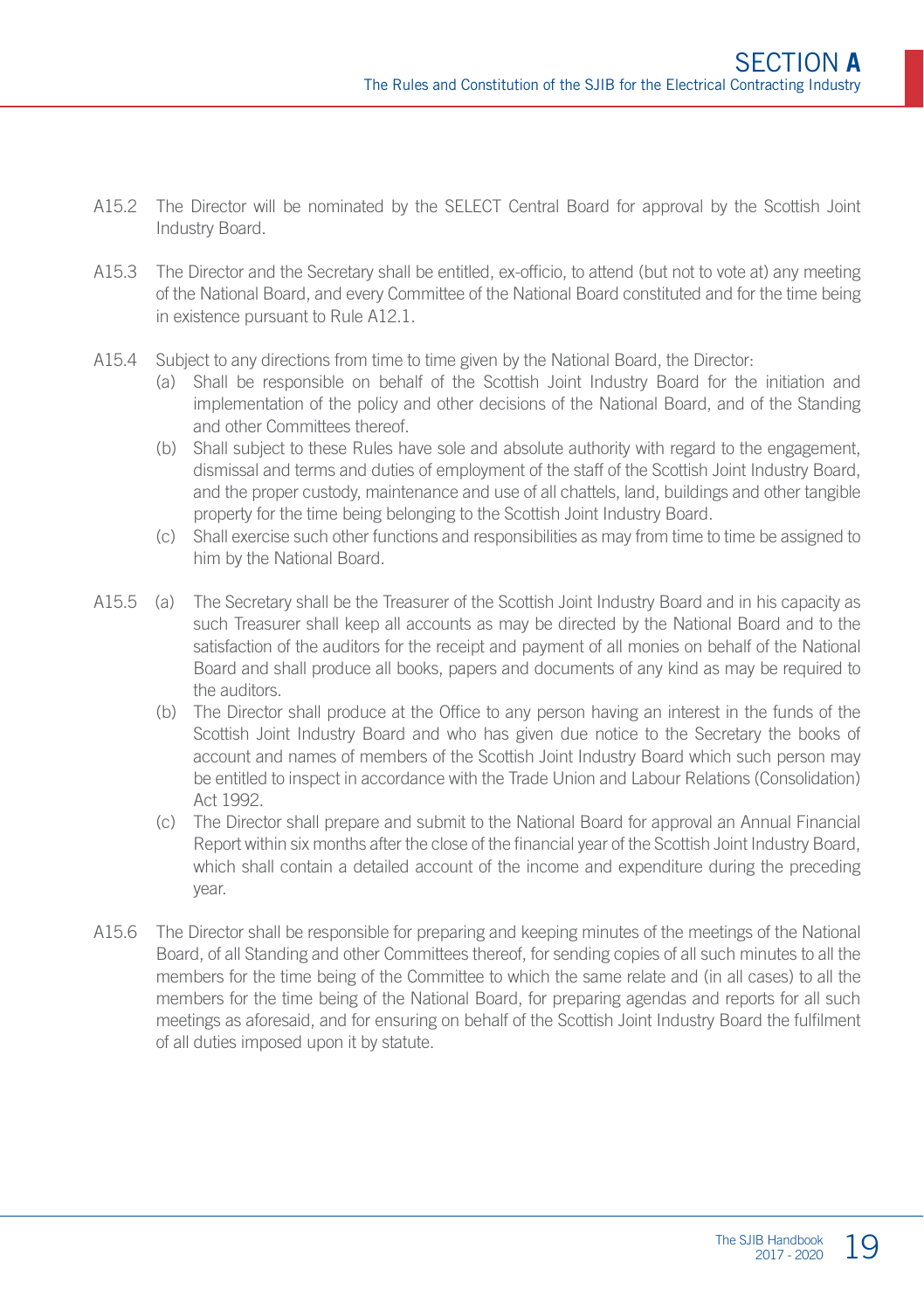- A15.2 The Director will be nominated by the SELECT Central Board for approval by the Scottish Joint Industry Board.
- A15.3 The Director and the Secretary shall be entitled, ex-officio, to attend (but not to vote at) any meeting of the National Board, and every Committee of the National Board constituted and for the time being in existence pursuant to Rule A12.1.
- A15.4 Subject to any directions from time to time given by the National Board, the Director:
	- (a) Shall be responsible on behalf of the Scottish Joint Industry Board for the initiation and implementation of the policy and other decisions of the National Board, and of the Standing and other Committees thereof.
	- (b) Shall subject to these Rules have sole and absolute authority with regard to the engagement, dismissal and terms and duties of employment of the staff of the Scottish Joint Industry Board, and the proper custody, maintenance and use of all chattels, land, buildings and other tangible property for the time being belonging to the Scottish Joint Industry Board.
	- (c) Shall exercise such other functions and responsibilities as may from time to time be assigned to him by the National Board.
- A15.5 (a) The Secretary shall be the Treasurer of the Scottish Joint Industry Board and in his capacity as such Treasurer shall keep all accounts as may be directed by the National Board and to the satisfaction of the auditors for the receipt and payment of all monies on behalf of the National Board and shall produce all books, papers and documents of any kind as may be required to the auditors.
	- (b) The Director shall produce at the Office to any person having an interest in the funds of the Scottish Joint Industry Board and who has given due notice to the Secretary the books of account and names of members of the Scottish Joint Industry Board which such person may be entitled to inspect in accordance with the Trade Union and Labour Relations (Consolidation) Act 1992.
	- (c) The Director shall prepare and submit to the National Board for approval an Annual Financial Report within six months after the close of the financial year of the Scottish Joint Industry Board, which shall contain a detailed account of the income and expenditure during the preceding year.
- A15.6 The Director shall be responsible for preparing and keeping minutes of the meetings of the National Board, of all Standing and other Committees thereof, for sending copies of all such minutes to all the members for the time being of the Committee to which the same relate and (in all cases) to all the members for the time being of the National Board, for preparing agendas and reports for all such meetings as aforesaid, and for ensuring on behalf of the Scottish Joint Industry Board the fulfilment of all duties imposed upon it by statute.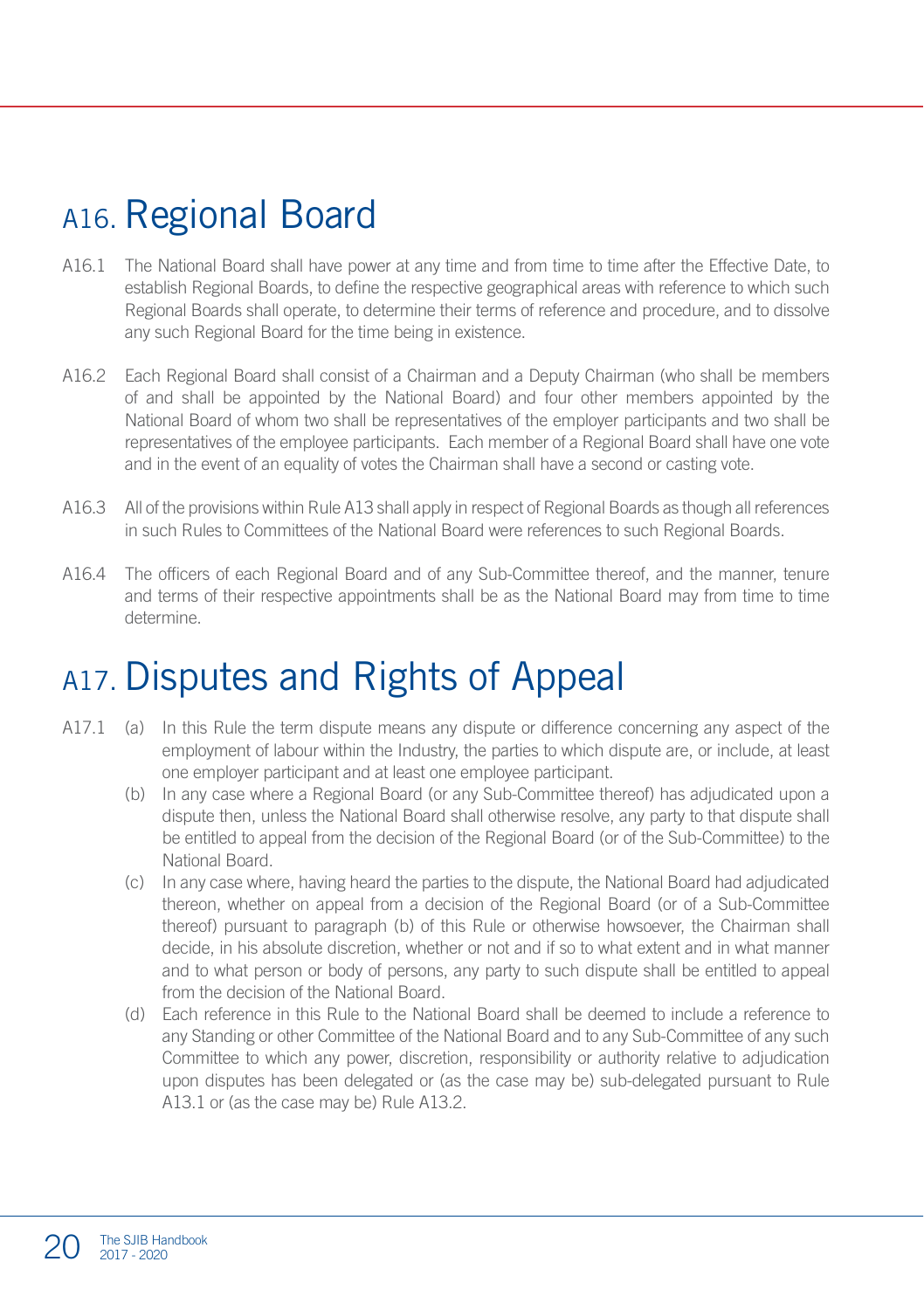## A16. Regional Board

- A16.1 The National Board shall have power at any time and from time to time after the Effective Date, to establish Regional Boards, to define the respective geographical areas with reference to which such Regional Boards shall operate, to determine their terms of reference and procedure, and to dissolve any such Regional Board for the time being in existence.
- A16.2 Each Regional Board shall consist of a Chairman and a Deputy Chairman (who shall be members of and shall be appointed by the National Board) and four other members appointed by the National Board of whom two shall be representatives of the employer participants and two shall be representatives of the employee participants. Each member of a Regional Board shall have one vote and in the event of an equality of votes the Chairman shall have a second or casting vote.
- A16.3 All of the provisions within Rule A13 shall apply in respect of Regional Boards as though all references in such Rules to Committees of the National Board were references to such Regional Boards.
- A16.4 The officers of each Regional Board and of any Sub-Committee thereof, and the manner, tenure and terms of their respective appointments shall be as the National Board may from time to time determine.

#### A17. Disputes and Rights of Appeal

- A17.1 (a) In this Rule the term dispute means any dispute or difference concerning any aspect of the employment of labour within the Industry, the parties to which dispute are, or include, at least one employer participant and at least one employee participant.
	- (b) In any case where a Regional Board (or any Sub-Committee thereof) has adjudicated upon a dispute then, unless the National Board shall otherwise resolve, any party to that dispute shall be entitled to appeal from the decision of the Regional Board (or of the Sub-Committee) to the National Board.
	- (c) In any case where, having heard the parties to the dispute, the National Board had adjudicated thereon, whether on appeal from a decision of the Regional Board (or of a Sub-Committee thereof) pursuant to paragraph (b) of this Rule or otherwise howsoever, the Chairman shall decide, in his absolute discretion, whether or not and if so to what extent and in what manner and to what person or body of persons, any party to such dispute shall be entitled to appeal from the decision of the National Board.
	- (d) Each reference in this Rule to the National Board shall be deemed to include a reference to any Standing or other Committee of the National Board and to any Sub-Committee of any such Committee to which any power, discretion, responsibility or authority relative to adjudication upon disputes has been delegated or (as the case may be) sub-delegated pursuant to Rule A13.1 or (as the case may be) Rule A13.2.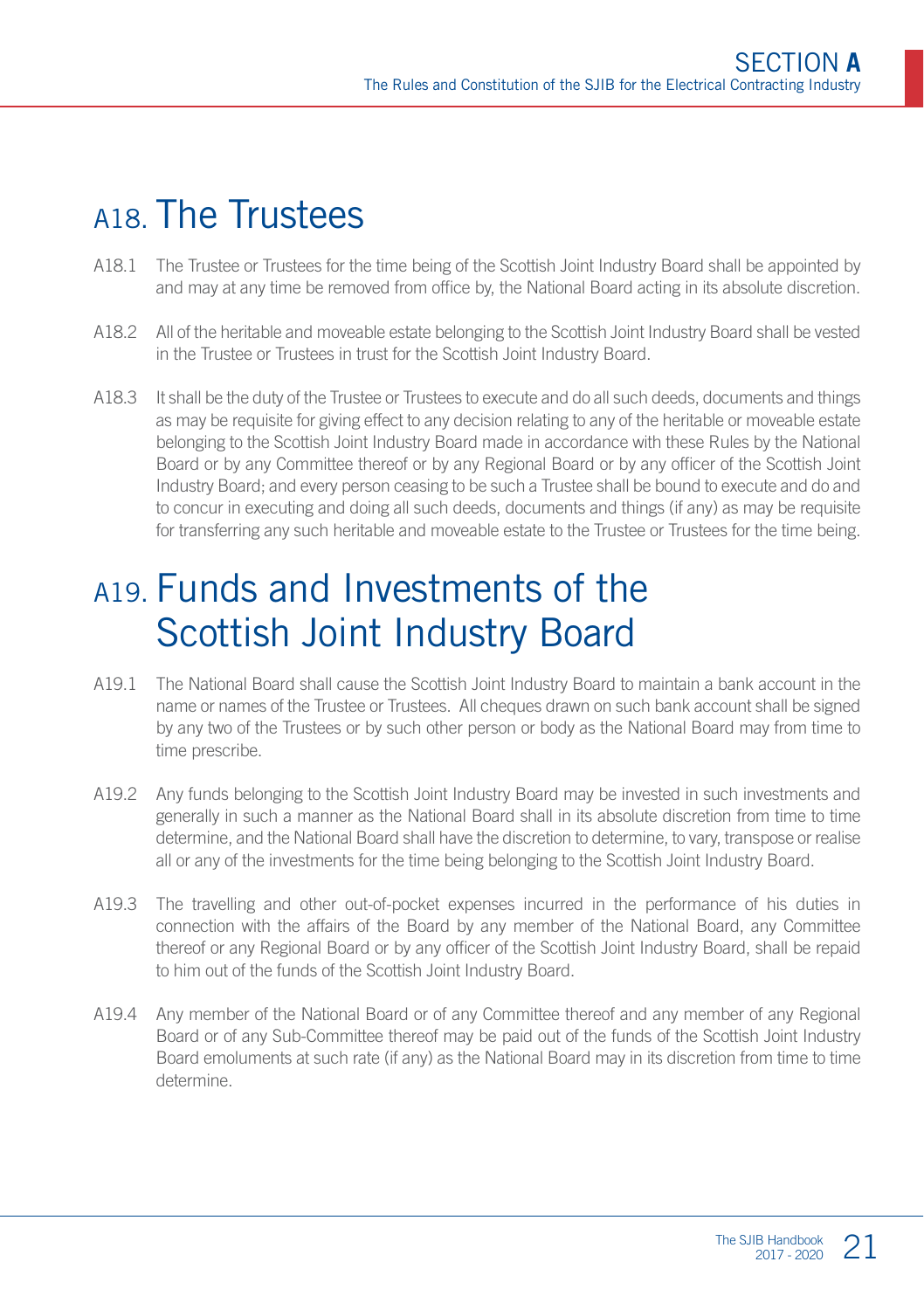#### A18 The Trustees

- A18.1 The Trustee or Trustees for the time being of the Scottish Joint Industry Board shall be appointed by and may at any time be removed from office by, the National Board acting in its absolute discretion.
- A18.2 All of the heritable and moveable estate belonging to the Scottish Joint Industry Board shall be vested in the Trustee or Trustees in trust for the Scottish Joint Industry Board.
- A18.3 It shall be the duty of the Trustee or Trustees to execute and do all such deeds, documents and things as may be requisite for giving effect to any decision relating to any of the heritable or moveable estate belonging to the Scottish Joint Industry Board made in accordance with these Rules by the National Board or by any Committee thereof or by any Regional Board or by any officer of the Scottish Joint Industry Board; and every person ceasing to be such a Trustee shall be bound to execute and do and to concur in executing and doing all such deeds, documents and things (if any) as may be requisite for transferring any such heritable and moveable estate to the Trustee or Trustees for the time being.

#### A19. Funds and Investments of the Scottish Joint Industry Board

- A19.1 The National Board shall cause the Scottish Joint Industry Board to maintain a bank account in the name or names of the Trustee or Trustees. All cheques drawn on such bank account shall be signed by any two of the Trustees or by such other person or body as the National Board may from time to time prescribe.
- A19.2 Any funds belonging to the Scottish Joint Industry Board may be invested in such investments and generally in such a manner as the National Board shall in its absolute discretion from time to time determine, and the National Board shall have the discretion to determine, to vary, transpose or realise all or any of the investments for the time being belonging to the Scottish Joint Industry Board.
- A19.3 The travelling and other out-of-pocket expenses incurred in the performance of his duties in connection with the affairs of the Board by any member of the National Board, any Committee thereof or any Regional Board or by any officer of the Scottish Joint Industry Board, shall be repaid to him out of the funds of the Scottish Joint Industry Board.
- A19.4 Any member of the National Board or of any Committee thereof and any member of any Regional Board or of any Sub-Committee thereof may be paid out of the funds of the Scottish Joint Industry Board emoluments at such rate (if any) as the National Board may in its discretion from time to time determine.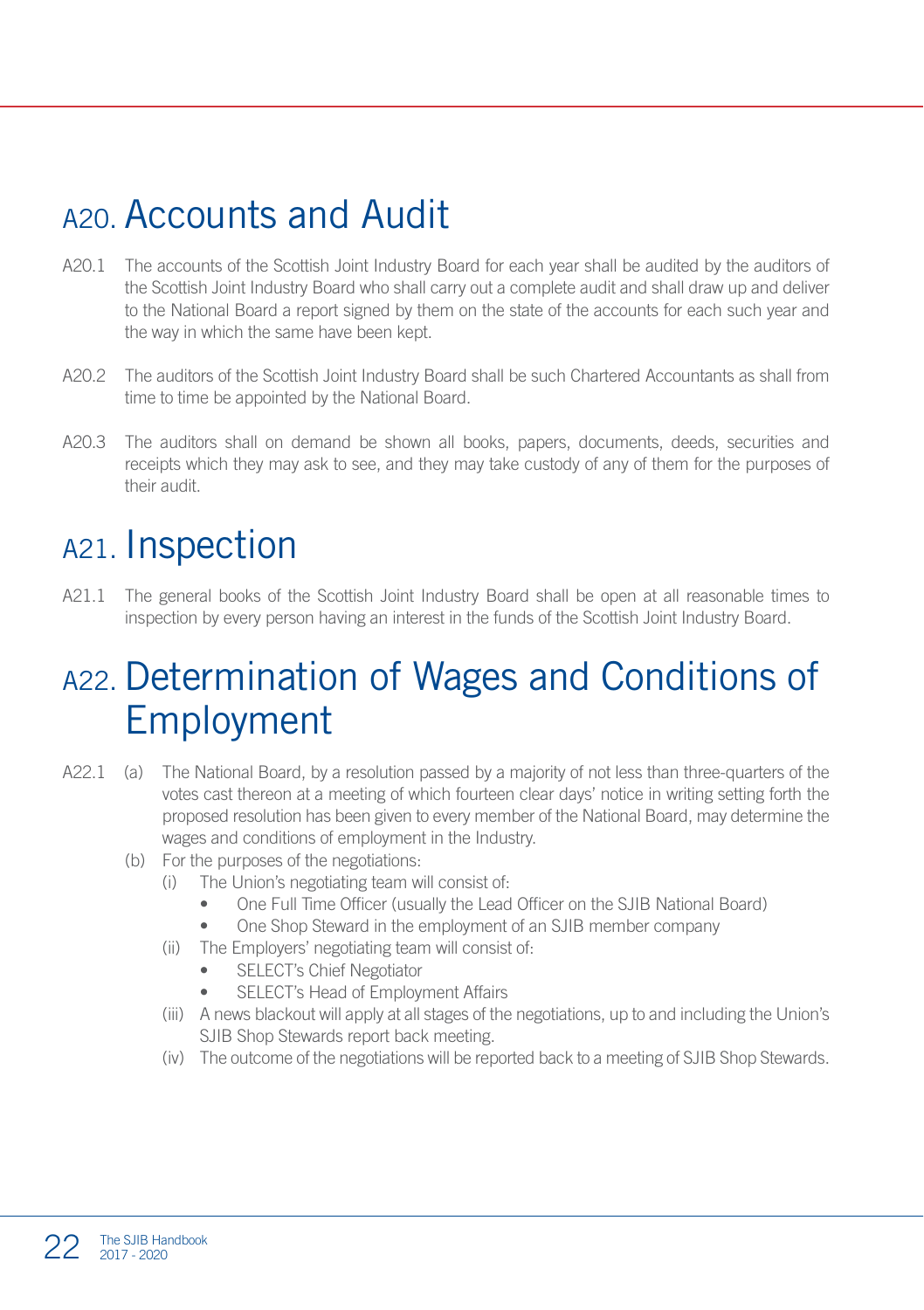#### A20. Accounts and Audit

- A20.1 The accounts of the Scottish Joint Industry Board for each year shall be audited by the auditors of the Scottish Joint Industry Board who shall carry out a complete audit and shall draw up and deliver to the National Board a report signed by them on the state of the accounts for each such year and the way in which the same have been kept.
- A20.2 The auditors of the Scottish Joint Industry Board shall be such Chartered Accountants as shall from time to time be appointed by the National Board.
- A20.3 The auditors shall on demand be shown all books, papers, documents, deeds, securities and receipts which they may ask to see, and they may take custody of any of them for the purposes of their audit.

#### A21. Inspection

A21.1 The general books of the Scottish Joint Industry Board shall be open at all reasonable times to inspection by every person having an interest in the funds of the Scottish Joint Industry Board.

#### A22. Determination of Wages and Conditions of Employment

- A22.1 (a) The National Board, by a resolution passed by a majority of not less than three-quarters of the votes cast thereon at a meeting of which fourteen clear days' notice in writing setting forth the proposed resolution has been given to every member of the National Board, may determine the wages and conditions of employment in the Industry.
	- (b) For the purposes of the negotiations:
		- (i) The Union's negotiating team will consist of:
			- One Full Time Officer (usually the Lead Officer on the SJIB National Board)
			- One Shop Steward in the employment of an SJIB member company
		- (ii) The Employers' negotiating team will consist of:
			- SELECT's Chief Negotiator
			- SELECT's Head of Employment Affairs
		- (iii) A news blackout will apply at all stages of the negotiations, up to and including the Union's SJIB Shop Stewards report back meeting.
		- (iv) The outcome of the negotiations will be reported back to a meeting of SJIB Shop Stewards.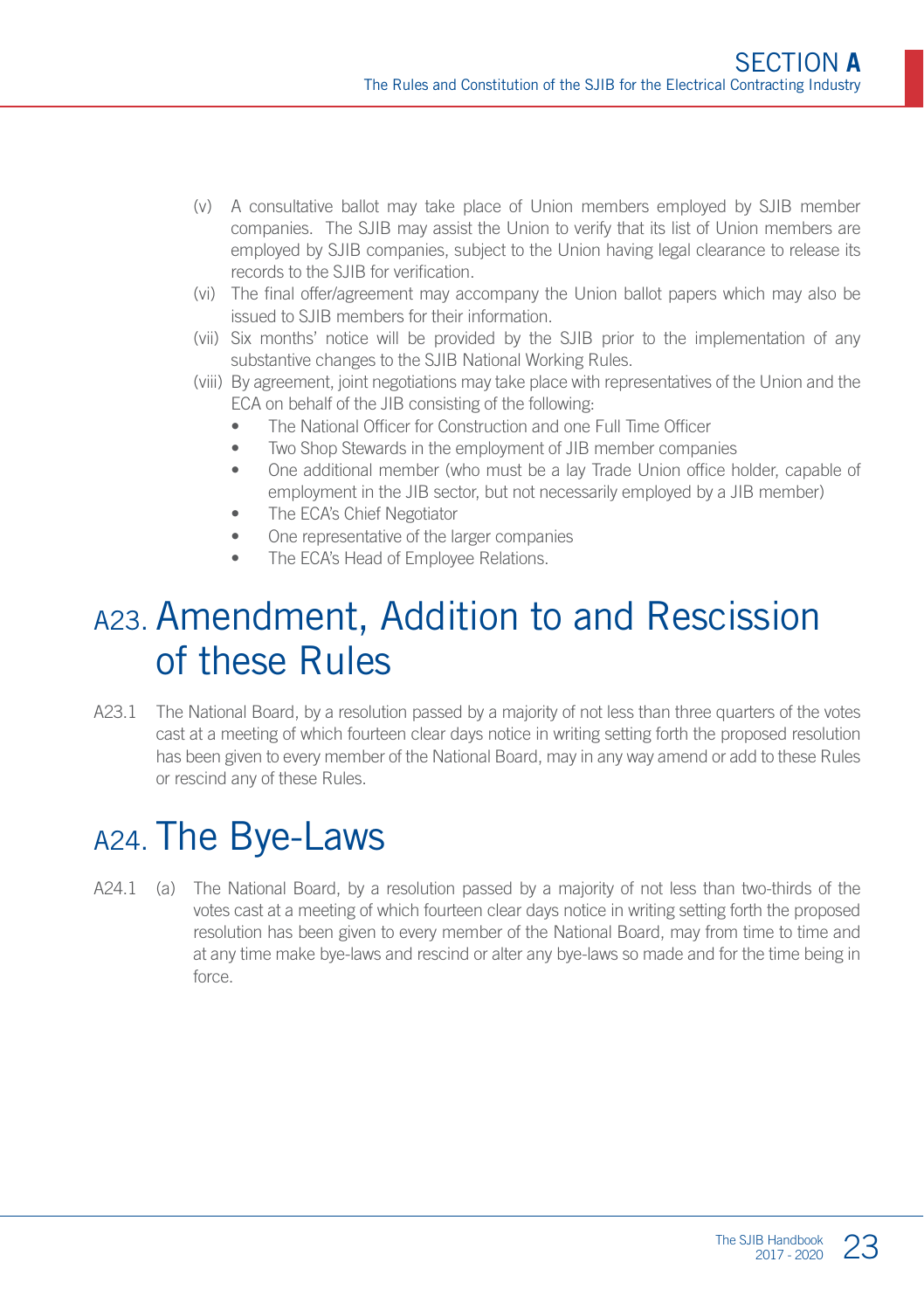- (v) A consultative ballot may take place of Union members employed by SJIB member companies. The SJIB may assist the Union to verify that its list of Union members are employed by SJIB companies, subject to the Union having legal clearance to release its records to the SJIB for verification.
- (vi) The final offer/agreement may accompany the Union ballot papers which may also be issued to SJIB members for their information.
- (vii) Six months' notice will be provided by the SJIB prior to the implementation of any substantive changes to the SJIB National Working Rules.
- (viii) By agreement, joint negotiations may take place with representatives of the Union and the ECA on behalf of the JIB consisting of the following:
	- The National Officer for Construction and one Full Time Officer
	- Two Shop Stewards in the employment of JIB member companies
	- One additional member (who must be a lay Trade Union office holder, capable of employment in the JIB sector, but not necessarily employed by a JIB member)
	- The ECA's Chief Negotiator
	- One representative of the larger companies
	- The ECA's Head of Employee Relations.

#### A23. Amendment, Addition to and Rescission of these Rules

A23.1 The National Board, by a resolution passed by a majority of not less than three quarters of the votes cast at a meeting of which fourteen clear days notice in writing setting forth the proposed resolution has been given to every member of the National Board, may in any way amend or add to these Rules or rescind any of these Rules.

#### A24. The Bye-Laws

A24.1 (a) The National Board, by a resolution passed by a majority of not less than two-thirds of the votes cast at a meeting of which fourteen clear days notice in writing setting forth the proposed resolution has been given to every member of the National Board, may from time to time and at any time make bye-laws and rescind or alter any bye-laws so made and for the time being in force.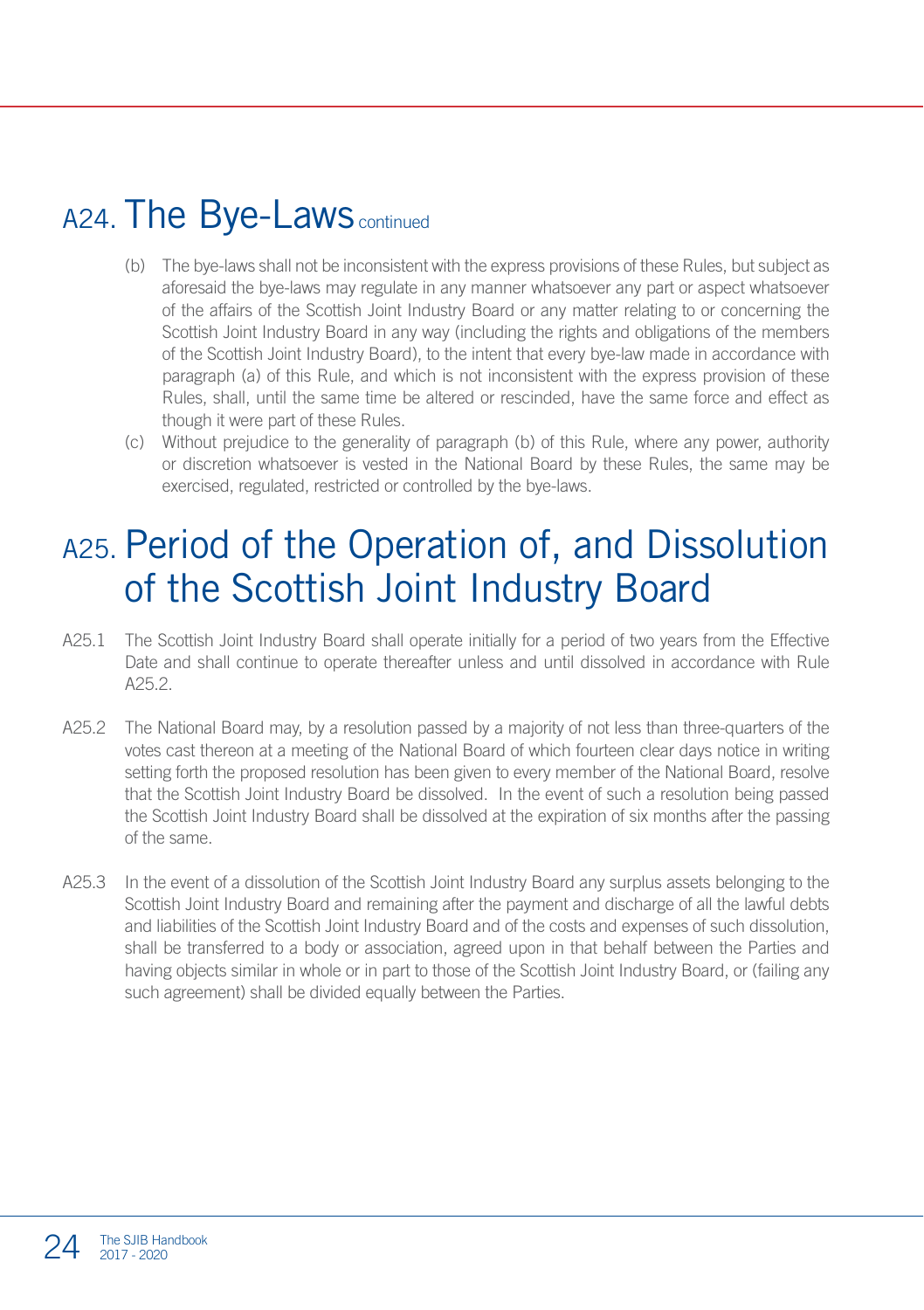#### A24. The Bve-Laws continued

- (b) The bye-laws shall not be inconsistent with the express provisions of these Rules, but subject as aforesaid the bye-laws may regulate in any manner whatsoever any part or aspect whatsoever of the affairs of the Scottish Joint Industry Board or any matter relating to or concerning the Scottish Joint Industry Board in any way (including the rights and obligations of the members of the Scottish Joint Industry Board), to the intent that every bye-law made in accordance with paragraph (a) of this Rule, and which is not inconsistent with the express provision of these Rules, shall, until the same time be altered or rescinded, have the same force and effect as though it were part of these Rules.
- (c) Without prejudice to the generality of paragraph (b) of this Rule, where any power, authority or discretion whatsoever is vested in the National Board by these Rules, the same may be exercised, regulated, restricted or controlled by the bye-laws.

#### A25. Period of the Operation of, and Dissolution of the Scottish Joint Industry Board

- A25.1 The Scottish Joint Industry Board shall operate initially for a period of two years from the Effective Date and shall continue to operate thereafter unless and until dissolved in accordance with Rule A25.2
- A25.2 The National Board may, by a resolution passed by a majority of not less than three-quarters of the votes cast thereon at a meeting of the National Board of which fourteen clear days notice in writing setting forth the proposed resolution has been given to every member of the National Board, resolve that the Scottish Joint Industry Board be dissolved. In the event of such a resolution being passed the Scottish Joint Industry Board shall be dissolved at the expiration of six months after the passing of the same.
- A25.3 In the event of a dissolution of the Scottish Joint Industry Board any surplus assets belonging to the Scottish Joint Industry Board and remaining after the payment and discharge of all the lawful debts and liabilities of the Scottish Joint Industry Board and of the costs and expenses of such dissolution, shall be transferred to a body or association, agreed upon in that behalf between the Parties and having objects similar in whole or in part to those of the Scottish Joint Industry Board, or (failing any such agreement) shall be divided equally between the Parties.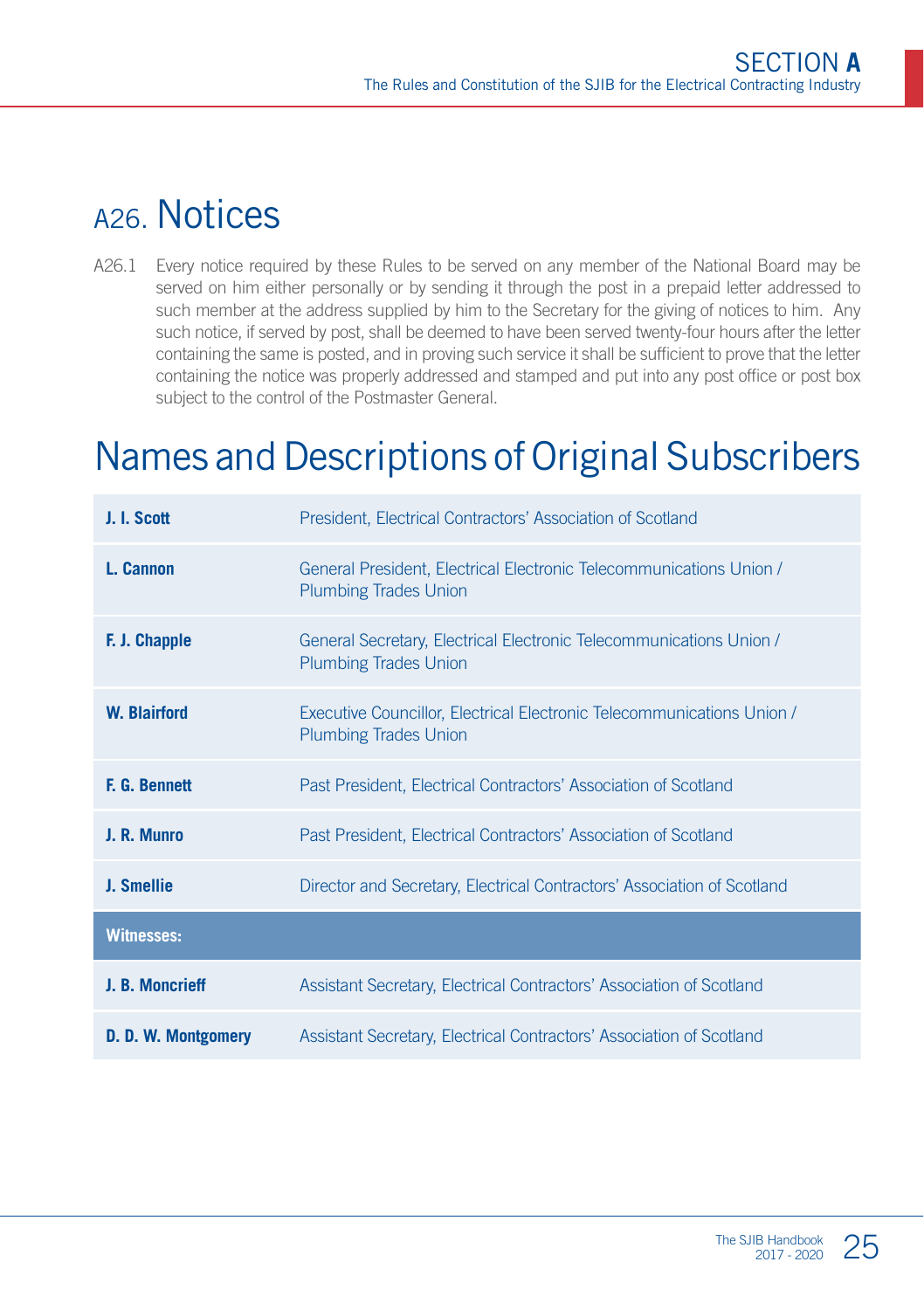#### A26. Notices

A26.1 Every notice required by these Rules to be served on any member of the National Board may be served on him either personally or by sending it through the post in a prepaid letter addressed to such member at the address supplied by him to the Secretary for the giving of notices to him. Any such notice, if served by post, shall be deemed to have been served twenty-four hours after the letter containing the same is posted, and in proving such service it shall be sufficient to prove that the letter containing the notice was properly addressed and stamped and put into any post office or post box subject to the control of the Postmaster General.

## Names and Descriptions of Original Subscribers

| J. J. Scott          | President, Electrical Contractors' Association of Scotland                                             |
|----------------------|--------------------------------------------------------------------------------------------------------|
| L. Cannon            | General President, Electrical Electronic Telecommunications Union /<br><b>Plumbing Trades Union</b>    |
| F. J. Chapple        | General Secretary, Electrical Electronic Telecommunications Union /<br><b>Plumbing Trades Union</b>    |
| <b>W. Blairford</b>  | Executive Councillor, Electrical Electronic Telecommunications Union /<br><b>Plumbing Trades Union</b> |
| <b>F. G. Bennett</b> | Past President, Electrical Contractors' Association of Scotland                                        |
| J. R. Munro          | Past President, Electrical Contractors' Association of Scotland                                        |
| J. Smellie           | Director and Secretary, Electrical Contractors' Association of Scotland                                |
| <b>Witnesses:</b>    |                                                                                                        |
| J. B. Moncrieff      | Assistant Secretary, Electrical Contractors' Association of Scotland                                   |
| D. D. W. Montgomery  | Assistant Secretary, Electrical Contractors' Association of Scotland                                   |